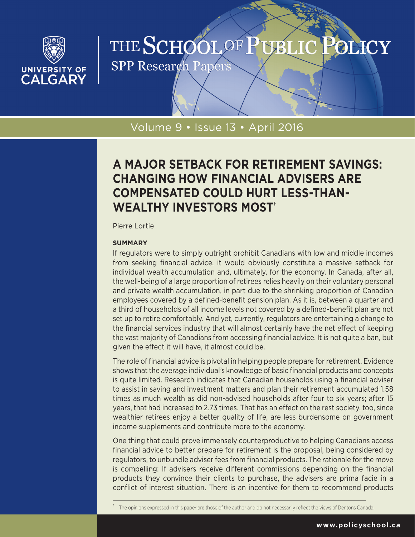

# THE SCHOOL OF PUBLIC POLICY

**SPP Research Papers** 

# Volume 9 • Issue 13 • April 2016

# **A MAJOR SETBACK FOR RETIREMENT SAVINGS: CHANGING HOW FINANCIAL ADVISERS ARE COMPENSATED COULD HURT LESS-THAN-WEALTHY INVESTORS MOST†**

Pierre Lortie

### **SUMMARY**

If regulators were to simply outright prohibit Canadians with low and middle incomes from seeking financial advice, it would obviously constitute a massive setback for individual wealth accumulation and, ultimately, for the economy. In Canada, after all, the well-being of a large proportion of retirees relies heavily on their voluntary personal and private wealth accumulation, in part due to the shrinking proportion of Canadian employees covered by a defined-benefit pension plan. As it is, between a quarter and a third of households of all income levels not covered by a defined-benefit plan are not set up to retire comfortably. And yet, currently, regulators are entertaining a change to the financial services industry that will almost certainly have the net effect of keeping the vast majority of Canadians from accessing financial advice. It is not quite a ban, but given the effect it will have, it almost could be.

The role of financial advice is pivotal in helping people prepare for retirement. Evidence shows that the average individual's knowledge of basic financial products and concepts is quite limited. Research indicates that Canadian households using a financial adviser to assist in saving and investment matters and plan their retirement accumulated 1.58 times as much wealth as did non-advised households after four to six years; after 15 years, that had increased to 2.73 times. That has an effect on the rest society, too, since wealthier retirees enjoy a better quality of life, are less burdensome on government income supplements and contribute more to the economy.

One thing that could prove immensely counterproductive to helping Canadians access financial advice to better prepare for retirement is the proposal, being considered by regulators, to unbundle adviser fees from financial products. The rationale for the move is compelling: If advisers receive different commissions depending on the financial products they convince their clients to purchase, the advisers are prima facie in a conflict of interest situation. There is an incentive for them to recommend products

The opinions expressed in this paper are those of the author and do not necessarily reflect the views of Dentons Canada.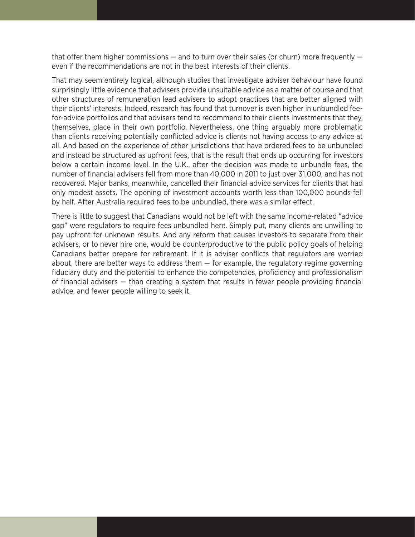that offer them higher commissions  $-$  and to turn over their sales (or churn) more frequently  $$ even if the recommendations are not in the best interests of their clients.

That may seem entirely logical, although studies that investigate adviser behaviour have found surprisingly little evidence that advisers provide unsuitable advice as a matter of course and that other structures of remuneration lead advisers to adopt practices that are better aligned with their clients' interests. Indeed, research has found that turnover is even higher in unbundled feefor-advice portfolios and that advisers tend to recommend to their clients investments that they, themselves, place in their own portfolio. Nevertheless, one thing arguably more problematic than clients receiving potentially conflicted advice is clients not having access to any advice at all. And based on the experience of other jurisdictions that have ordered fees to be unbundled and instead be structured as upfront fees, that is the result that ends up occurring for investors below a certain income level. In the U.K., after the decision was made to unbundle fees, the number of financial advisers fell from more than 40,000 in 2011 to just over 31,000, and has not recovered. Major banks, meanwhile, cancelled their financial advice services for clients that had only modest assets. The opening of investment accounts worth less than 100,000 pounds fell by half. After Australia required fees to be unbundled, there was a similar effect.

There is little to suggest that Canadians would not be left with the same income-related "advice gap" were regulators to require fees unbundled here. Simply put, many clients are unwilling to pay upfront for unknown results. And any reform that causes investors to separate from their advisers, or to never hire one, would be counterproductive to the public policy goals of helping Canadians better prepare for retirement. If it is adviser conflicts that regulators are worried about, there are better ways to address them  $-$  for example, the regulatory regime governing fiduciary duty and the potential to enhance the competencies, proficiency and professionalism of financial advisers — than creating a system that results in fewer people providing financial advice, and fewer people willing to seek it.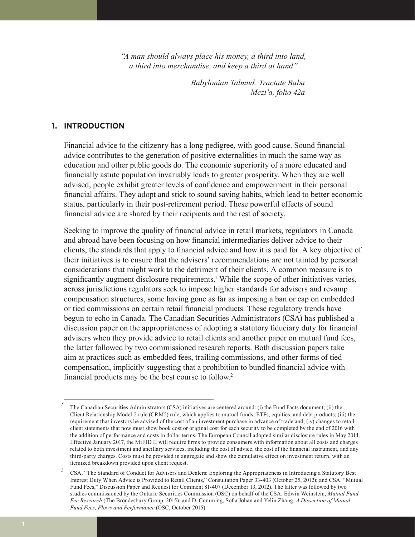*"A man should always place his money, a third into land, a third into merchandise, and keep a third at hand"*

> *Babylonian Talmud: Tractate Baba Mezi'a, folio 42a*

### **1. INTRODUCTION**

Financial advice to the citizenry has a long pedigree, with good cause. Sound financial advice contributes to the generation of positive externalities in much the same way as education and other public goods do. The economic superiority of a more educated and financially astute population invariably leads to greater prosperity. When they are well advised, people exhibit greater levels of confidence and empowerment in their personal financial affairs. They adopt and stick to sound saving habits, which lead to better economic status, particularly in their post-retirement period. These powerful effects of sound financial advice are shared by their recipients and the rest of society.

Seeking to improve the quality of financial advice in retail markets, regulators in Canada and abroad have been focusing on how financial intermediaries deliver advice to their clients, the standards that apply to financial advice and how it is paid for. A key objective of their initiatives is to ensure that the advisers' recommendations are not tainted by personal considerations that might work to the detriment of their clients. A common measure is to significantly augment disclosure requirements.<sup>1</sup> While the scope of other initiatives varies, across jurisdictions regulators seek to impose higher standards for advisers and revamp compensation structures, some having gone as far as imposing a ban or cap on embedded or tied commissions on certain retail financial products. These regulatory trends have begun to echo in Canada. The Canadian Securities Administrators (CSA) has published a discussion paper on the appropriateness of adopting a statutory fiduciary duty for financial advisers when they provide advice to retail clients and another paper on mutual fund fees, the latter followed by two commissioned research reports. Both discussion papers take aim at practices such as embedded fees, trailing commissions, and other forms of tied compensation, implicitly suggesting that a prohibition to bundled financial advice with financial products may be the best course to follow.<sup>2</sup>

*<sup>1</sup>* The Canadian Securities Administrators (CSA) initiatives are centered around: (i) the Fund Facts document; (ii) the Client Relationship Model-2 rule (CRM2) rule, which applies to mutual funds, ETFs, equities, and debt products; (iii) the requirement that investors be advised of the cost of an investment purchase in advance of trade and, (iv) changes to retail client statements that now must show book cost or original cost for each security to be completed by the end of 2016 with the addition of performance and costs in dollar terms. The European Council adopted similar disclosure rules in May 2014. Effective January 2017, the MiFID II will require firms to provide consumers with information about all costs and charges related to both investment and ancillary services, including the cost of advice, the cost of the financial instrument, and any third-party charges. Costs must be provided in aggregate and show the cumulative effect on investment return, with an itemized breakdown provided upon client request.

<sup>&</sup>lt;sup>2</sup> CSA, "The Standard of Conduct for Advisers and Dealers: Exploring the Appropriateness in Introducing a Statutory Best Interest Duty When Advice is Provided to Retail Clients," Consultation Paper 33-403 (October 25, 2012); and CSA, "Mutual Fund Fees," Discussion Paper and Request for Comment 81-407 (December 13, 2012). The latter was followed by two studies commissioned by the Ontario Securities Commission (OSC) on behalf of the CSA: Edwin Weinstein, *Mutual Fund Fee Research* (The Brondesbury Group, 2015); and D. Cumming, Sofia Johan and Yelin Zhang, *A Dissection of Mutual Fund Fees, Flows and Performance* (OSC, October 2015).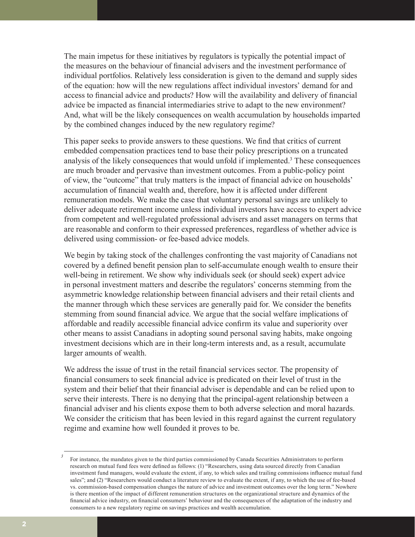The main impetus for these initiatives by regulators is typically the potential impact of the measures on the behaviour of financial advisers and the investment performance of individual portfolios. Relatively less consideration is given to the demand and supply sides of the equation: how will the new regulations affect individual investors' demand for and access to financial advice and products? How will the availability and delivery of financial advice be impacted as financial intermediaries strive to adapt to the new environment? And, what will be the likely consequences on wealth accumulation by households imparted by the combined changes induced by the new regulatory regime?

This paper seeks to provide answers to these questions. We find that critics of current embedded compensation practices tend to base their policy prescriptions on a truncated analysis of the likely consequences that would unfold if implemented.3 These consequences are much broader and pervasive than investment outcomes. From a public-policy point of view, the "outcome" that truly matters is the impact of financial advice on households' accumulation of financial wealth and, therefore, how it is affected under different remuneration models. We make the case that voluntary personal savings are unlikely to deliver adequate retirement income unless individual investors have access to expert advice from competent and well-regulated professional advisers and asset managers on terms that are reasonable and conform to their expressed preferences, regardless of whether advice is delivered using commission- or fee-based advice models.

We begin by taking stock of the challenges confronting the vast majority of Canadians not covered by a defined benefit pension plan to self-accumulate enough wealth to ensure their well-being in retirement. We show why individuals seek (or should seek) expert advice in personal investment matters and describe the regulators' concerns stemming from the asymmetric knowledge relationship between financial advisers and their retail clients and the manner through which these services are generally paid for. We consider the benefits stemming from sound financial advice. We argue that the social welfare implications of affordable and readily accessible financial advice confirm its value and superiority over other means to assist Canadians in adopting sound personal saving habits, make ongoing investment decisions which are in their long-term interests and, as a result, accumulate larger amounts of wealth.

We address the issue of trust in the retail financial services sector. The propensity of financial consumers to seek financial advice is predicated on their level of trust in the system and their belief that their financial adviser is dependable and can be relied upon to serve their interests. There is no denying that the principal-agent relationship between a financial adviser and his clients expose them to both adverse selection and moral hazards. We consider the criticism that has been levied in this regard against the current regulatory regime and examine how well founded it proves to be.

*<sup>3</sup>* For instance, the mandates given to the third parties commissioned by Canada Securities Administrators to perform research on mutual fund fees were defined as follows: (1) "Researchers, using data sourced directly from Canadian investment fund managers, would evaluate the extent, if any, to which sales and trailing commissions influence mutual fund sales"; and (2) "Researchers would conduct a literature review to evaluate the extent, if any, to which the use of fee-based vs. commission-based compensation changes the nature of advice and investment outcomes over the long term." Nowhere is there mention of the impact of different remuneration structures on the organizational structure and dynamics of the financial advice industry, on financial consumers' behaviour and the consequences of the adaptation of the industry and consumers to a new regulatory regime on savings practices and wealth accumulation.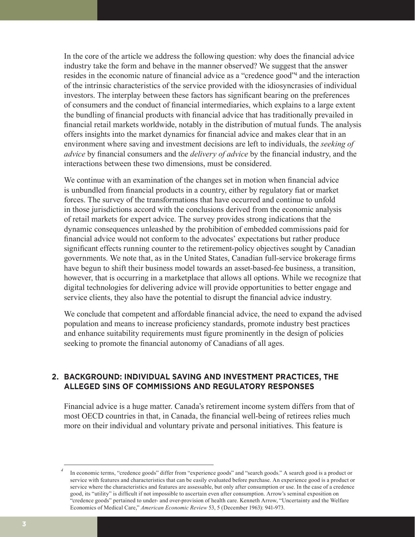In the core of the article we address the following question: why does the financial advice industry take the form and behave in the manner observed? We suggest that the answer resides in the economic nature of financial advice as a "credence good"4 and the interaction of the intrinsic characteristics of the service provided with the idiosyncrasies of individual investors. The interplay between these factors has significant bearing on the preferences of consumers and the conduct of financial intermediaries, which explains to a large extent the bundling of financial products with financial advice that has traditionally prevailed in financial retail markets worldwide, notably in the distribution of mutual funds. The analysis offers insights into the market dynamics for financial advice and makes clear that in an environment where saving and investment decisions are left to individuals, the *seeking of advice* by financial consumers and the *delivery of advice* by the financial industry, and the interactions between these two dimensions, must be considered.

We continue with an examination of the changes set in motion when financial advice is unbundled from financial products in a country, either by regulatory fiat or market forces. The survey of the transformations that have occurred and continue to unfold in those jurisdictions accord with the conclusions derived from the economic analysis of retail markets for expert advice. The survey provides strong indications that the dynamic consequences unleashed by the prohibition of embedded commissions paid for financial advice would not conform to the advocates' expectations but rather produce significant effects running counter to the retirement-policy objectives sought by Canadian governments. We note that, as in the United States, Canadian full-service brokerage firms have begun to shift their business model towards an asset-based-fee business, a transition, however, that is occurring in a marketplace that allows all options. While we recognize that digital technologies for delivering advice will provide opportunities to better engage and service clients, they also have the potential to disrupt the financial advice industry.

We conclude that competent and affordable financial advice, the need to expand the advised population and means to increase proficiency standards, promote industry best practices and enhance suitability requirements must figure prominently in the design of policies seeking to promote the financial autonomy of Canadians of all ages.

# **2. BACKGROUND: INDIVIDUAL SAVING AND INVESTMENT PRACTICES, THE ALLEGED SINS OF COMMISSIONS AND REGULATORY RESPONSES**

Financial advice is a huge matter. Canada's retirement income system differs from that of most OECD countries in that, in Canada, the financial well-being of retirees relies much more on their individual and voluntary private and personal initiatives. This feature is

In economic terms, "credence goods" differ from "experience goods" and "search goods." A search good is a product or service with features and characteristics that can be easily evaluated before purchase. An experience good is a product or service where the characteristics and features are assessable, but only after consumption or use. In the case of a credence good, its "utility" is difficult if not impossible to ascertain even after consumption. Arrow's seminal exposition on "credence goods" pertained to under- and over-provision of health care. Kenneth Arrow, "Uncertainty and the Welfare Economics of Medical Care," *American Economic Review* 53, 5 (December 1963): 941-973.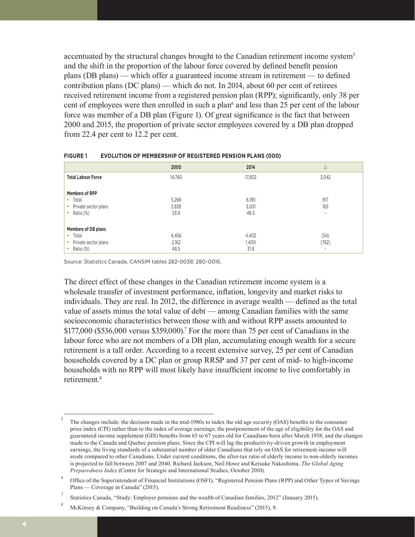accentuated by the structural changes brought to the Canadian retirement income system<sup>5</sup> and the shift in the proportion of the labour force covered by defined benefit pension plans (DB plans) — which offer a guaranteed income stream in retirement — to defined contribution plans (DC plans) — which do not. In 2014, about 60 per cent of retirees received retirement income from a registered pension plan (RPP); significantly, only 38 per cent of employees were then enrolled in such a plan<sup>6</sup> and less than 25 per cent of the labour force was member of a DB plan (Figure 1). Of great significance is the fact that between 2000 and 2015, the proportion of private sector employees covered by a DB plan dropped from 22.4 per cent to 12.2 per cent.

|                                   | 2000   | 2014   | Δ                        |
|-----------------------------------|--------|--------|--------------------------|
| <b>Total Labour Force</b>         | 14,760 | 17.802 | 3,042                    |
| <b>Members of RPP</b>             |        |        |                          |
| Total<br>$\bullet$                | 5,268  | 6,185  | 917                      |
| Private sector plans<br>$\bullet$ | 2.838  | 3,001  | 163                      |
| Ratio (%)<br>$\bullet$            | 53.9   | 48.5   | $\overline{\phantom{a}}$ |
| Members of DB plans               |        |        |                          |
| Total<br>$\bullet$                | 4,456  | 4,402  | (54)                     |
| Private sector plans<br>$\bullet$ | 2,162  | 1,400  | (762)                    |
| Ratio (%)<br>$\bullet$            | 48.5   | 31.8   | $\overline{\phantom{a}}$ |

#### **FIGURE 1 EVOLUTION OF MEMBERSHIP OF REGISTERED PENSION PLANS (000)**

Source: Statistics Canada, CANSIM tables 282-0038; 280-0016.

The direct effect of these changes in the Canadian retirement income system is a wholesale transfer of investment performance, inflation, longevity and market risks to individuals. They are real. In 2012, the difference in average wealth — defined as the total value of assets minus the total value of debt — among Canadian families with the same socioeconomic characteristics between those with and without RPP assets amounted to \$177,000 (\$536,000 versus \$359,000).<sup>7</sup> For the more than 75 per cent of Canadians in the labour force who are not members of a DB plan, accumulating enough wealth for a secure retirement is a tall order. According to a recent extensive survey, 25 per cent of Canadian households covered by a DC plan or group RRSP and 37 per cent of mid- to high-income households with no RPP will most likely have insufficient income to live comfortably in retirement.<sup>8</sup>

*<sup>5</sup>* The changes include: the decision made in the mid-1980s to index the old age security (OAS) benefits to the consumer price index (CPI) rather than to the index of average earnings; the postponement of the age of eligibility for the OAS and guaranteed income supplement (GIS) benefits from 65 to 67 years old for Canadians born after March 1958; and the changes made to the Canada and Quebec pension plans. Since the CPI will lag the productivity-driven growth in employment earnings, the living standards of a substantial number of older Canadians that rely on OAS for retirement income will erode compared to other Canadians. Under current conditions, the after-tax ratio of elderly income to non-elderly incomes is projected to fall between 2007 and 2040. Richard Jackson, Neil Howe and Keisuke Nakashima, *The Global Aging Preparedness Index* (Centre for Strategic and International Studies, October 2010).

*<sup>6</sup>* Office of the Superintendent of Financial Institutions (OSFI), "Registered Pension Plans (RPP) and Other Types of Savings Plans — Coverage in Canada" (2015).

*<sup>7</sup>* Statistics Canada, "Study: Employer pensions and the wealth of Canadian families, 2012" (January 2015).

*<sup>8</sup>* McKinsey & Company, "Building on Canada's Strong Retirement Readiness" (2015), 9.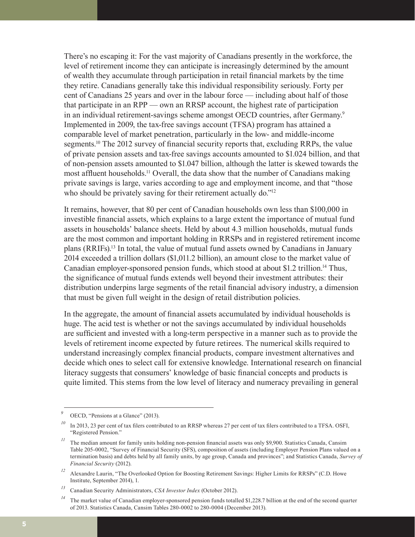There's no escaping it: For the vast majority of Canadians presently in the workforce, the level of retirement income they can anticipate is increasingly determined by the amount of wealth they accumulate through participation in retail financial markets by the time they retire. Canadians generally take this individual responsibility seriously. Forty per cent of Canadians 25 years and over in the labour force — including about half of those that participate in an RPP — own an RRSP account, the highest rate of participation in an individual retirement-savings scheme amongst OECD countries, after Germany.<sup>9</sup> Implemented in 2009, the tax-free savings account (TFSA) program has attained a comparable level of market penetration, particularly in the low- and middle-income segments.<sup>10</sup> The 2012 survey of financial security reports that, excluding RRPs, the value of private pension assets and tax-free savings accounts amounted to \$1.024 billion, and that of non-pension assets amounted to \$1.047 billion, although the latter is skewed towards the most affluent households.<sup>11</sup> Overall, the data show that the number of Canadians making private savings is large, varies according to age and employment income, and that "those who should be privately saving for their retirement actually do."<sup>12</sup>

It remains, however, that 80 per cent of Canadian households own less than \$100,000 in investible financial assets, which explains to a large extent the importance of mutual fund assets in households' balance sheets. Held by about 4.3 million households, mutual funds are the most common and important holding in RRSPs and in registered retirement income plans (RRIFs).13 In total, the value of mutual fund assets owned by Canadians in January 2014 exceeded a trillion dollars (\$1,011.2 billion), an amount close to the market value of Canadian employer-sponsored pension funds, which stood at about \$1.2 trillion.<sup>14</sup> Thus, the significance of mutual funds extends well beyond their investment attributes: their distribution underpins large segments of the retail financial advisory industry, a dimension that must be given full weight in the design of retail distribution policies.

In the aggregate, the amount of financial assets accumulated by individual households is huge. The acid test is whether or not the savings accumulated by individual households are sufficient and invested with a long-term perspective in a manner such as to provide the levels of retirement income expected by future retirees. The numerical skills required to understand increasingly complex financial products, compare investment alternatives and decide which ones to select call for extensive knowledge. International research on financial literacy suggests that consumers' knowledge of basic financial concepts and products is quite limited. This stems from the low level of literacy and numeracy prevailing in general

OECD, "Pensions at a Glance" (2013).

<sup>&</sup>lt;sup>10</sup> In 2013, 23 per cent of tax filers contributed to an RRSP whereas 27 per cent of tax filers contributed to a TFSA. OSFI, "Registered Pension."

<sup>&</sup>lt;sup>11</sup> The median amount for family units holding non-pension financial assets was only \$9,900. Statistics Canada, Cansim Table 205-0002, "Survey of Financial Security (SFS), composition of assets (including Employer Pension Plans valued on a termination basis) and debts held by all family units, by age group, Canada and provinces"; and Statistics Canada, *Survey of Financial Security* (2012).

*<sup>12</sup>* Alexandre Laurin, "The Overlooked Option for Boosting Retirement Savings: Higher Limits for RRSPs" (C.D. Howe Institute, September 2014), 1.

*<sup>13</sup>* Canadian Security Administrators, *CSA Investor Index* (October 2012).

<sup>&</sup>lt;sup>14</sup> The market value of Canadian employer-sponsored pension funds totalled \$1,228.7 billion at the end of the second quarter of 2013. Statistics Canada, Cansim Tables 280-0002 to 280-0004 (December 2013).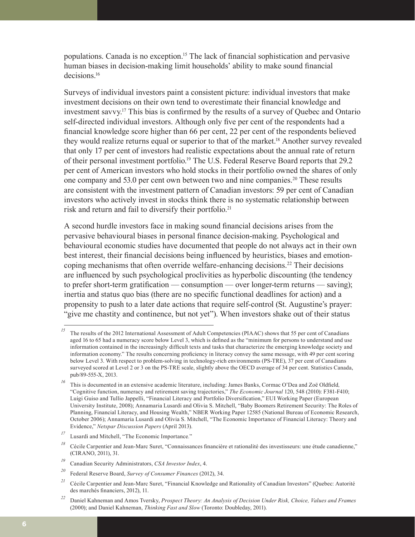populations. Canada is no exception.15 The lack of financial sophistication and pervasive human biases in decision-making limit households' ability to make sound financial decisions<sup>16</sup>

Surveys of individual investors paint a consistent picture: individual investors that make investment decisions on their own tend to overestimate their financial knowledge and investment savvy.17 This bias is confirmed by the results of a survey of Quebec and Ontario self-directed individual investors. Although only five per cent of the respondents had a financial knowledge score higher than 66 per cent, 22 per cent of the respondents believed they would realize returns equal or superior to that of the market.<sup>18</sup> Another survey revealed that only 17 per cent of investors had realistic expectations about the annual rate of return of their personal investment portfolio.19 The U.S. Federal Reserve Board reports that 29.2 per cent of American investors who hold stocks in their portfolio owned the shares of only one company and 53.0 per cent own between two and nine companies.20 These results are consistent with the investment pattern of Canadian investors: 59 per cent of Canadian investors who actively invest in stocks think there is no systematic relationship between risk and return and fail to diversify their portfolio.<sup>21</sup>

A second hurdle investors face in making sound financial decisions arises from the pervasive behavioural biases in personal finance decision-making. Psychological and behavioural economic studies have documented that people do not always act in their own best interest, their financial decisions being influenced by heuristics, biases and emotioncoping mechanisms that often override welfare-enhancing decisions.<sup>22</sup> Their decisions are influenced by such psychological proclivities as hyperbolic discounting (the tendency to prefer short-term gratification — consumption — over longer-term returns — saving); inertia and status quo bias (there are no specific functional deadlines for action) and a propensity to push to a later date actions that require self-control (St. Augustine's prayer: "give me chastity and continence, but not yet"). When investors shake out of their status

<sup>&</sup>lt;sup>15</sup> The results of the 2012 International Assessment of Adult Competencies (PIAAC) shows that 55 per cent of Canadians aged 16 to 65 had a numeracy score below Level 3, which is defined as the "minimum for persons to understand and use information contained in the increasingly difficult texts and tasks that characterize the emerging knowledge society and information economy." The results concerning proficiency in literacy convey the same message, with 49 per cent scoring below Level 3. With respect to problem-solving in technology-rich environments (PS-TRE), 37 per cent of Canadians surveyed scored at Level 2 or 3 on the PS-TRE scale, slightly above the OECD average of 34 per cent. Statistics Canada, pub/89-555-X, 2013.

*<sup>16</sup>* This is documented in an extensive academic literature, including: James Banks, Cormac O'Dea and Zoë Oldfield*,*  "Cognitive function, numeracy and retirement saving trajectories," *The Economic Journal* 120, 548 (2010): F381-F410; Luigi Guiso and Tullio Jappelli, "Financial Literacy and Portfolio Diversification," EUI Working Paper (European University Institute, 2008); Annamaria Lusardi and Olivia S. Mitchell, "Baby Boomers Retirement Security: The Roles of Planning, Financial Literacy, and Housing Wealth," NBER Working Paper 12585 (National Bureau of Economic Research, October 2006); Annamaria Lusardi and Olivia S. Mitchell, "The Economic Importance of Financial Literacy: Theory and Evidence," *Netspar Discussion Papers* (April 2013).

*<sup>17</sup>* Lusardi and Mitchell, "The Economic Importance*.*"

*<sup>18</sup>* Cécile Carpentier and Jean-Marc Suret, "Connaissances financière et rationalité des investisseurs: une étude canadienne," (CIRANO, 2011), 31.

*<sup>19</sup>* Canadian Security Administrators, *CSA Investor Index*, 4.

*<sup>20</sup>* Federal Reserve Board, *Survey of Consumer Finances* (2012), 34.

<sup>&</sup>lt;sup>21</sup> Cécile Carpentier and Jean-Marc Suret, "Financial Knowledge and Rationality of Canadian Investors" (Quebec: Autorité des marchés financiers, 2012), 11.

*<sup>22</sup>* Daniel Kahneman and Amos Tversky, *Prospect Theory: An Analysis of Decision Under Risk, Choice, Values and Frames* (2000); and Daniel Kahneman, *Thinking Fast and Slow* (Toronto: Doubleday, 2011).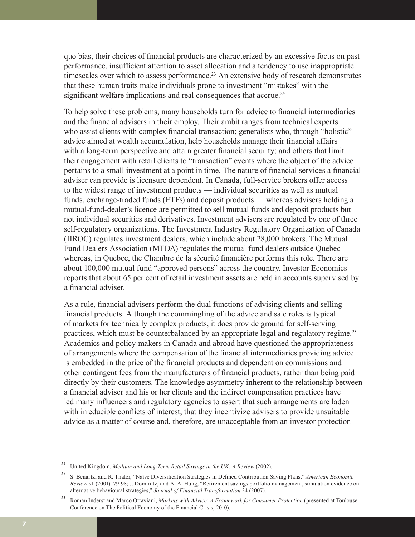quo bias, their choices of financial products are characterized by an excessive focus on past performance, insufficient attention to asset allocation and a tendency to use inappropriate timescales over which to assess performance.<sup>23</sup> An extensive body of research demonstrates that these human traits make individuals prone to investment "mistakes" with the significant welfare implications and real consequences that accrue.<sup>24</sup>

To help solve these problems, many households turn for advice to financial intermediaries and the financial advisers in their employ. Their ambit ranges from technical experts who assist clients with complex financial transaction; generalists who, through "holistic" advice aimed at wealth accumulation, help households manage their financial affairs with a long-term perspective and attain greater financial security; and others that limit their engagement with retail clients to "transaction" events where the object of the advice pertains to a small investment at a point in time. The nature of financial services a financial adviser can provide is licensure dependent. In Canada, full-service brokers offer access to the widest range of investment products — individual securities as well as mutual funds, exchange-traded funds (ETFs) and deposit products — whereas advisers holding a mutual-fund-dealer's licence are permitted to sell mutual funds and deposit products but not individual securities and derivatives. Investment advisers are regulated by one of three self-regulatory organizations. The Investment Industry Regulatory Organization of Canada (IIROC) regulates investment dealers, which include about 28,000 brokers. The Mutual Fund Dealers Association (MFDA) regulates the mutual fund dealers outside Quebec whereas, in Quebec, the Chambre de la sécurité financière performs this role. There are about 100,000 mutual fund "approved persons" across the country. Investor Economics reports that about 65 per cent of retail investment assets are held in accounts supervised by a financial adviser.

As a rule, financial advisers perform the dual functions of advising clients and selling financial products. Although the commingling of the advice and sale roles is typical of markets for technically complex products, it does provide ground for self-serving practices, which must be counterbalanced by an appropriate legal and regulatory regime.<sup>25</sup> Academics and policy-makers in Canada and abroad have questioned the appropriateness of arrangements where the compensation of the financial intermediaries providing advice is embedded in the price of the financial products and dependent on commissions and other contingent fees from the manufacturers of financial products, rather than being paid directly by their customers. The knowledge asymmetry inherent to the relationship between a financial adviser and his or her clients and the indirect compensation practices have led many influencers and regulatory agencies to assert that such arrangements are laden with irreducible conflicts of interest, that they incentivize advisers to provide unsuitable advice as a matter of course and, therefore, are unacceptable from an investor-protection

*<sup>23</sup>* United Kingdom, *Medium and Long-Term Retail Savings in the UK: A Review* (2002).

*<sup>24</sup>* S. Benartzi and R. Thaler, "Naïve Diversification Strategies in Defined Contribution Saving Plans," *American Economic Review* 91 (2001): 79-98; J. Dominitz, and A. A. Hung, "Retirement savings portfolio management, simulation evidence on alternative behavioural strategies," *Journal of Financial Transformation* 24 (2007).

*<sup>25</sup>* Roman Inderst and Marco Ottaviani, *Markets with Advice: A Framework for Consumer Protection* (presented at Toulouse Conference on The Political Economy of the Financial Crisis, 2010).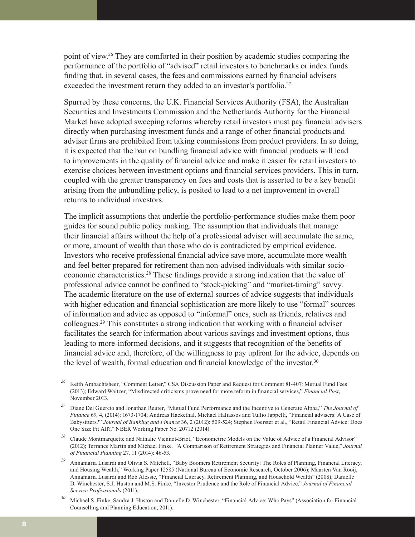point of view.<sup>26</sup> They are comforted in their position by academic studies comparing the performance of the portfolio of "advised" retail investors to benchmarks or index funds finding that, in several cases, the fees and commissions earned by financial advisers exceeded the investment return they added to an investor's portfolio.<sup>27</sup>

Spurred by these concerns, the U.K. Financial Services Authority (FSA), the Australian Securities and Investments Commission and the Netherlands Authority for the Financial Market have adopted sweeping reforms whereby retail investors must pay financial advisers directly when purchasing investment funds and a range of other financial products and adviser firms are prohibited from taking commissions from product providers. In so doing, it is expected that the ban on bundling financial advice with financial products will lead to improvements in the quality of financial advice and make it easier for retail investors to exercise choices between investment options and financial services providers. This in turn, coupled with the greater transparency on fees and costs that is asserted to be a key benefit arising from the unbundling policy, is posited to lead to a net improvement in overall returns to individual investors.

The implicit assumptions that underlie the portfolio-performance studies make them poor guides for sound public policy making. The assumption that individuals that manage their financial affairs without the help of a professional adviser will accumulate the same, or more, amount of wealth than those who do is contradicted by empirical evidence. Investors who receive professional financial advice save more, accumulate more wealth and feel better prepared for retirement than non-advised individuals with similar socioeconomic characteristics.<sup>28</sup> These findings provide a strong indication that the value of professional advice cannot be confined to "stock-picking" and "market-timing" savvy. The academic literature on the use of external sources of advice suggests that individuals with higher education and financial sophistication are more likely to use "formal" sources of information and advice as opposed to "informal" ones, such as friends, relatives and colleagues.29 This constitutes a strong indication that working with a financial adviser facilitates the search for information about various savings and investment options, thus leading to more-informed decisions, and it suggests that recognition of the benefits of financial advice and, therefore, of the willingness to pay upfront for the advice, depends on the level of wealth, formal education and financial knowledge of the investor.<sup>30</sup>

<sup>&</sup>lt;sup>26</sup> Keith Ambachtsheer, "Comment Letter," CSA Discussion Paper and Request for Comment 81-407: Mutual Fund Fees (2013); Edward Waitzer, "Misdirected criticisms prove need for more reform in financial services," *Financial Post*, November 2013.

*<sup>27</sup>* Diane Del Guercio and Jonathan Reuter, "Mutual Fund Performance and the Incentive to Generate Alpha," *The Journal of Finance* 69, 4, (2014): 1673-1704; Andreas Hackethal, Michael Haliassos and Tullio Jappelli, "Financial advisers: A Case of Babysitters?" *Journal of Banking and Finance* 36, 2 (2012): 509-524; Stephen Foerster et al., "Retail Financial Advice: Does One Size Fit All?," NBER Working Paper No. 20712 (2014).

<sup>&</sup>lt;sup>28</sup> Claude Montmarquette and Nathalie Viennot-Briot, "Econometric Models on the Value of Advice of a Financial Advisor" (2012); Terrance Martin and Michael Finke*, "*A Comparison of Retirement Strategies and Financial Planner Value," *Journal of Financial Planning* 27, 11 (2014): 46-53.

*<sup>29</sup>* Annamaria Lusardi and Olivia S. Mitchell, "Baby Boomers Retirement Security: The Roles of Planning, Financial Literacy, and Housing Wealth," Working Paper 12585 (National Bureau of Economic Research, October 2006); Maarten Van Rooij, Annamaria Lusardi and Rob Alessie, "Financial Literacy, Retirement Planning, and Household Wealth" (2008); Danielle D. Winchester, S.J. Huston and M.S. Finke, "Investor Prudence and the Role of Financial Advice," *Journal of Financial Service Professionals* (2011).

*<sup>30</sup>* Michael S. Finke, Sandra J. Huston and Danielle D. Winchester, "Financial Advice: Who Pays" (Association for Financial Counselling and Planning Education, 2011).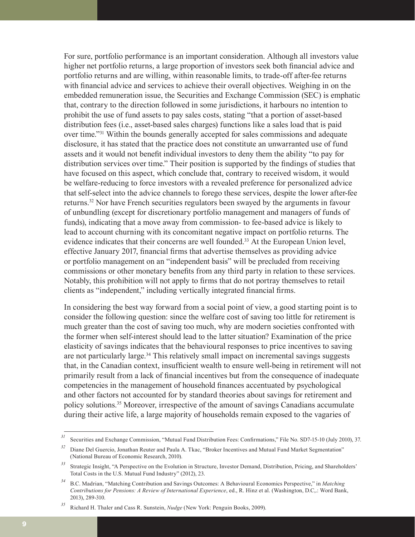For sure, portfolio performance is an important consideration. Although all investors value higher net portfolio returns, a large proportion of investors seek both financial advice and portfolio returns and are willing, within reasonable limits, to trade-off after-fee returns with financial advice and services to achieve their overall objectives. Weighing in on the embedded remuneration issue, the Securities and Exchange Commission (SEC) is emphatic that, contrary to the direction followed in some jurisdictions, it harbours no intention to prohibit the use of fund assets to pay sales costs, stating "that a portion of asset-based distribution fees (i.e., asset-based sales charges) functions like a sales load that is paid over time."31 Within the bounds generally accepted for sales commissions and adequate disclosure, it has stated that the practice does not constitute an unwarranted use of fund assets and it would not benefit individual investors to deny them the ability "to pay for distribution services over time." Their position is supported by the findings of studies that have focused on this aspect, which conclude that, contrary to received wisdom, it would be welfare-reducing to force investors with a revealed preference for personalized advice that self-select into the advice channels to forego these services, despite the lower after-fee returns.32 Nor have French securities regulators been swayed by the arguments in favour of unbundling (except for discretionary portfolio management and managers of funds of funds), indicating that a move away from commission- to fee-based advice is likely to lead to account churning with its concomitant negative impact on portfolio returns. The evidence indicates that their concerns are well founded.<sup>33</sup> At the European Union level, effective January 2017, financial firms that advertise themselves as providing advice or portfolio management on an "independent basis" will be precluded from receiving commissions or other monetary benefits from any third party in relation to these services. Notably, this prohibition will not apply to firms that do not portray themselves to retail clients as "independent," including vertically integrated financial firms.

In considering the best way forward from a social point of view, a good starting point is to consider the following question: since the welfare cost of saving too little for retirement is much greater than the cost of saving too much, why are modern societies confronted with the former when self-interest should lead to the latter situation? Examination of the price elasticity of savings indicates that the behavioural responses to price incentives to saving are not particularly large.<sup>34</sup> This relatively small impact on incremental savings suggests that, in the Canadian context, insufficient wealth to ensure well-being in retirement will not primarily result from a lack of financial incentives but from the consequence of inadequate competencies in the management of household finances accentuated by psychological and other factors not accounted for by standard theories about savings for retirement and policy solutions.35 Moreover, irrespective of the amount of savings Canadians accumulate during their active life, a large majority of households remain exposed to the vagaries of

<sup>&</sup>lt;sup>31</sup> Securities and Exchange Commission, "Mutual Fund Distribution Fees: Confirmations," File No. SD7-15-10 (July 2010), 37.

*<sup>32</sup>* Diane Del Guercio, Jonathan Reuter and Paula A. Tkac, "Broker Incentives and Mutual Fund Market Segmentation" (National Bureau of Economic Research, 2010).

*<sup>33</sup>* Strategic Insight, "A Perspective on the Evolution in Structure, Investor Demand, Distribution, Pricing, and Shareholders' Total Costs in the U.S. Mutual Fund Industry" (2012), 23.

*<sup>34</sup>* B.C. Madrian, "Matching Contribution and Savings Outcomes: A Behavioural Economics Perspective," in *Matching Contributions for Pensions: A Review of International Experience*, ed., R. Hinz et al. (Washington, D.C,.: Word Bank, 2013), 289-310.

*<sup>35</sup>* Richard H. Thaler and Cass R. Sunstein, *Nudge* (New York: Penguin Books, 2009).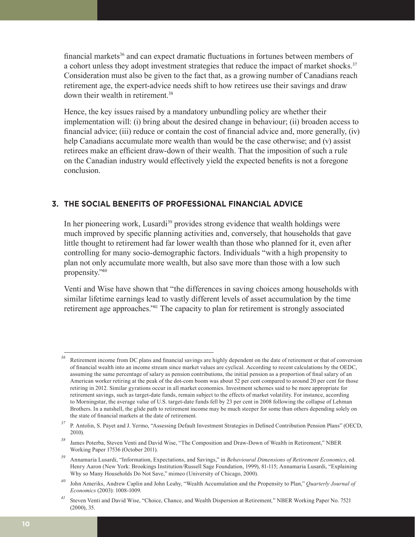financial markets<sup>36</sup> and can expect dramatic fluctuations in fortunes between members of a cohort unless they adopt investment strategies that reduce the impact of market shocks.<sup>37</sup> Consideration must also be given to the fact that, as a growing number of Canadians reach retirement age, the expert-advice needs shift to how retirees use their savings and draw down their wealth in retirement.<sup>38</sup>

Hence, the key issues raised by a mandatory unbundling policy are whether their implementation will: (i) bring about the desired change in behaviour; (ii) broaden access to financial advice; (iii) reduce or contain the cost of financial advice and, more generally, (iv) help Canadians accumulate more wealth than would be the case otherwise; and (v) assist retirees make an efficient draw-down of their wealth. That the imposition of such a rule on the Canadian industry would effectively yield the expected benefits is not a foregone conclusion.

# **3. THE SOCIAL BENEFITS OF PROFESSIONAL FINANCIAL ADVICE**

In her pioneering work, Lusardi<sup>39</sup> provides strong evidence that wealth holdings were much improved by specific planning activities and, conversely, that households that gave little thought to retirement had far lower wealth than those who planned for it, even after controlling for many socio-demographic factors. Individuals "with a high propensity to plan not only accumulate more wealth, but also save more than those with a low such propensity."40

Venti and Wise have shown that "the differences in saving choices among households with similar lifetime earnings lead to vastly different levels of asset accumulation by the time retirement age approaches."41 The capacity to plan for retirement is strongly associated

*<sup>36</sup>* Retirement income from DC plans and financial savings are highly dependent on the date of retirement or that of conversion of financial wealth into an income stream since market values are cyclical. According to recent calculations by the OEDC, assuming the same percentage of salary as pension contributions, the initial pension as a proportion of final salary of an American worker retiring at the peak of the dot-com boom was about 52 per cent compared to around 20 per cent for those retiring in 2012. Similar gyrations occur in all market economies. Investment schemes said to be more appropriate for retirement savings, such as target-date funds, remain subject to the effects of market volatility. For instance, according to Morningstar, the average value of U.S. target-date funds fell by 23 per cent in 2008 following the collapse of Lehman Brothers. In a nutshell, the glide path to retirement income may be much steeper for some than others depending solely on the state of financial markets at the date of retirement.

*<sup>37</sup>* P. Antolin, S. Payet and J. Yermo, "Assessing Default Investment Strategies in Defined Contribution Pension Plans" (OECD, 2010).

*<sup>38</sup>* James Poterba, Steven Venti and David Wise, "The Composition and Draw-Down of Wealth in Retirement," NBER Working Paper 17536 (October 2011).

*<sup>39</sup>* Annamaria Lusardi, "Information, Expectations, and Savings," in *Behavioural Dimensions of Retirement Economics*, ed. Henry Aaron (New York: Brookings Institution/Russell Sage Foundation, 1999), 81-115; Annamaria Lusardi, "Explaining Why so Many Households Do Not Save," mimeo (University of Chicago, 2000).

*<sup>40</sup>* John Ameriks, Andrew Caplin and John Leahy, "Wealth Accumulation and the Propensity to Plan," *Quarterly Journal of Economics* (2003): 1008-1009.

*<sup>41</sup>* Steven Venti and David Wise, "Choice, Chance, and Wealth Dispersion at Retirement*,*" NBER Working Paper No. 7521 (2000), 35.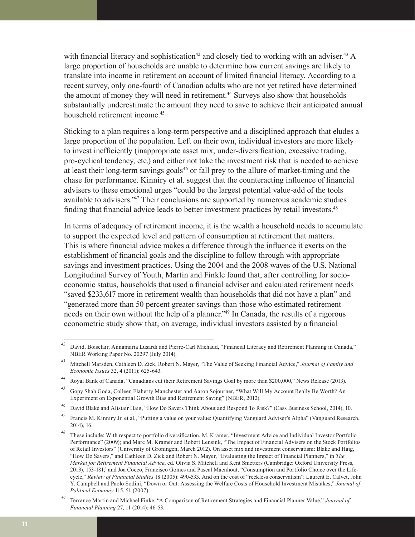with financial literacy and sophistication<sup>42</sup> and closely tied to working with an adviser.<sup>43</sup> A large proportion of households are unable to determine how current savings are likely to translate into income in retirement on account of limited financial literacy. According to a recent survey, only one-fourth of Canadian adults who are not yet retired have determined the amount of money they will need in retirement.<sup>44</sup> Surveys also show that households substantially underestimate the amount they need to save to achieve their anticipated annual household retirement income.<sup>45</sup>

Sticking to a plan requires a long-term perspective and a disciplined approach that eludes a large proportion of the population. Left on their own, individual investors are more likely to invest inefficiently (inappropriate asset mix, under-diversification, excessive trading, pro-cyclical tendency, etc.) and either not take the investment risk that is needed to achieve at least their long-term savings goals<sup>46</sup> or fall prey to the allure of market-timing and the chase for performance. Kinniry et al. suggest that the counteracting influence of financial advisers to these emotional urges "could be the largest potential value-add of the tools available to advisers."47 Their conclusions are supported by numerous academic studies finding that financial advice leads to better investment practices by retail investors.<sup>48</sup>

In terms of adequacy of retirement income, it is the wealth a household needs to accumulate to support the expected level and pattern of consumption at retirement that matters. This is where financial advice makes a difference through the influence it exerts on the establishment of financial goals and the discipline to follow through with appropriate savings and investment practices. Using the 2004 and the 2008 waves of the U.S. National Longitudinal Survey of Youth, Martin and Finkle found that, after controlling for socioeconomic status, households that used a financial adviser and calculated retirement needs "saved \$233,617 more in retirement wealth than households that did not have a plan" and "generated more than 50 percent greater savings than those who estimated retirement needs on their own without the help of a planner."49 In Canada, the results of a rigorous econometric study show that, on average, individual investors assisted by a financial

*<sup>42</sup>* David, Boisclair, Annamaria Lusardi and Pierre-Carl Michaud, "Financial Literacy and Retirement Planning in Canada," NBER Working Paper No. 20297 (July 2014).

*<sup>43</sup>* Mitchell Marsden, Cathleen D. Zick, Robert N. Mayer, "The Value of Seeking Financial Advice," *Journal of Family and Economic Issues* 32, 4 (2011): 625-643.

*<sup>44</sup>* Royal Bank of Canada, "Canadians cut their Retirement Savings Goal by more than \$200,000," News Release (2013).

*<sup>45</sup>* Gopy Shah Goda, Colleen Flaherty Manchester and Aaron Sojourner, "What Will My Account Really Be Worth? An Experiment on Exponential Growth Bias and Retirement Saving" (NBER, 2012).

*<sup>46</sup>* David Blake and Alistair Haig, "How Do Savers Think About and Respond To Risk?" (Cass Business School, 2014), 10.

*<sup>47</sup>* Francis M. Kinniry Jr. et al., "Putting a value on your value: Quantifying Vanguard Adviser's Alpha" (Vanguard Research, 2014), 16.

*<sup>48</sup>* These include: With respect to portfolio diversification, M. Kramer, "Investment Advice and Individual Investor Portfolio Performance" (2009); and Marc M. Kramer and Robert Lensink, "The Impact of Financial Advisers on the Stock Portfolios of Retail Investors" (University of Groningen, March 2012). On asset mix and investment conservatism: Blake and Haig, "How Do Savers," and Cathleen D. Zick and Robert N. Mayer, "Evaluating the Impact of Financial Planners," in *The Market for Retirement Financial Advice*, ed. Olivia S. Mitchell and Kent Smetters (Cambridge: Oxford University Press, 2013), 153-181;` and Joa Cocco, Francisco Gomes and Pascal Maenhout, "Consumption and Portfolio Choice over the Lifecycle," *Review of Financial Studies* 18 (2005): 490-533. And on the cost of "reckless conservatism": Laurent E. Calvet, John Y. Campbell and Paolo Sodini, "Down or Out: Assessing the Welfare Costs of Household Investment Mistakes," *Journal of Political Economy* 115, 51 (2007).

*<sup>49</sup>* Terrance Martin and Michael Finke, "A Comparison of Retirement Strategies and Financial Planner Value," *Journal of Financial Planning* 27, 11 (2014): 46-53.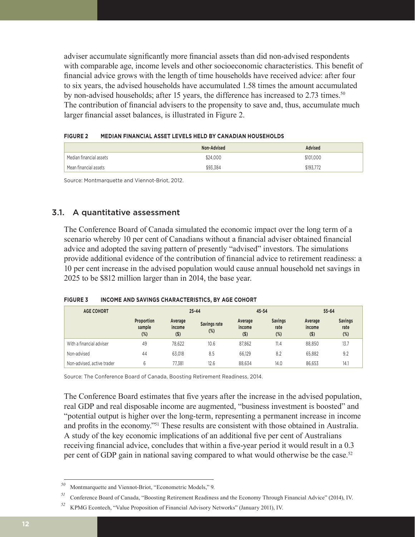adviser accumulate significantly more financial assets than did non-advised respondents with comparable age, income levels and other socioeconomic characteristics. This benefit of financial advice grows with the length of time households have received advice: after four to six years, the advised households have accumulated 1.58 times the amount accumulated by non-advised households; after 15 years, the difference has increased to 2.73 times.<sup>50</sup> The contribution of financial advisers to the propensity to save and, thus, accumulate much larger financial asset balances, is illustrated in Figure 2.

| <b>FIGURE 2</b> | MEDIAN FINANCIAL ASSET LEVELS HELD BY CANADIAN HOUSEHOLDS |
|-----------------|-----------------------------------------------------------|
|                 |                                                           |

|                         | Non-Advised | Advised   |
|-------------------------|-------------|-----------|
| Median financial assets | \$24,000    | \$101,000 |
| 'Mean financial assets  | \$93.384    | \$193.772 |

Source: Montmarquette and Viennot-Briot, 2012.

# 3.1. A quantitative assessment

The Conference Board of Canada simulated the economic impact over the long term of a scenario whereby 10 per cent of Canadians without a financial adviser obtained financial advice and adopted the saving pattern of presently "advised" investors. The simulations provide additional evidence of the contribution of financial advice to retirement readiness: a 10 per cent increase in the advised population would cause annual household net savings in 2025 to be \$812 million larger than in 2014, the base year.

|  | <b>FIGURE 3</b> | INCOME AND SAVINGS CHARACTERISTICS, BY AGE COHORT |
|--|-----------------|---------------------------------------------------|
|--|-----------------|---------------------------------------------------|

| <b>AGE COHORT</b>          |                                | $25 - 44$                    |                        | $45 - 54$                    |                                  | $55 - 64$                    |                               |
|----------------------------|--------------------------------|------------------------------|------------------------|------------------------------|----------------------------------|------------------------------|-------------------------------|
|                            | Proportion<br>sample<br>$(\%)$ | Average<br>income<br>$($ \$) | Savings rate<br>$(\%)$ | Average<br>income<br>$($ \$) | <b>Savings</b><br>rate<br>$(\%)$ | Average<br>income<br>$($ \$) | <b>Savings</b><br>rate<br>(%) |
| With a financial adviser   | 49                             | 78.622                       | 10.6                   | 87.862                       | 11.4                             | 88.850                       | 13.7                          |
| Non-advised                | 44                             | 63.018                       | 8.5                    | 66.129                       | 8.2                              | 65.882                       | 9.2                           |
| Non-advised, active trader | 6                              | 77.381                       | 12.6                   | 88.634                       | 14.0                             | 86.653                       | 14.1                          |

Source: The Conference Board of Canada, Boosting Retirement Readiness, 2014.

The Conference Board estimates that five years after the increase in the advised population, real GDP and real disposable income are augmented, "business investment is boosted" and "potential output is higher over the long-term, representing a permanent increase in income and profits in the economy."51 These results are consistent with those obtained in Australia. A study of the key economic implications of an additional five per cent of Australians receiving financial advice, concludes that within a five-year period it would result in a 0.3 per cent of GDP gain in national saving compared to what would otherwise be the case.<sup>52</sup>

*<sup>50</sup>* Montmarquette and Viennot-Briot, "Econometric Models," 9.

*<sup>51</sup>* Conference Board of Canada, "Boosting Retirement Readiness and the Economy Through Financial Advice" (2014), IV.

*<sup>52</sup>* KPMG Econtech, "Value Proposition of Financial Advisory Networks" (January 2011), IV.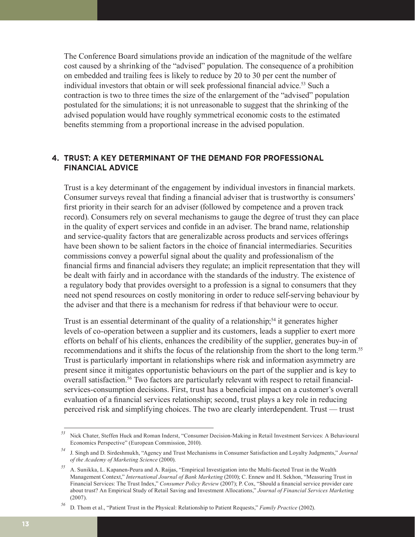The Conference Board simulations provide an indication of the magnitude of the welfare cost caused by a shrinking of the "advised" population. The consequence of a prohibition on embedded and trailing fees is likely to reduce by 20 to 30 per cent the number of individual investors that obtain or will seek professional financial advice.<sup>53</sup> Such a contraction is two to three times the size of the enlargement of the "advised" population postulated for the simulations; it is not unreasonable to suggest that the shrinking of the advised population would have roughly symmetrical economic costs to the estimated benefits stemming from a proportional increase in the advised population.

## **4. TRUST: A KEY DETERMINANT OF THE DEMAND FOR PROFESSIONAL FINANCIAL ADVICE**

Trust is a key determinant of the engagement by individual investors in financial markets. Consumer surveys reveal that finding a financial adviser that is trustworthy is consumers' first priority in their search for an adviser (followed by competence and a proven track record). Consumers rely on several mechanisms to gauge the degree of trust they can place in the quality of expert services and confide in an adviser. The brand name, relationship and service-quality factors that are generalizable across products and services offerings have been shown to be salient factors in the choice of financial intermediaries. Securities commissions convey a powerful signal about the quality and professionalism of the financial firms and financial advisers they regulate; an implicit representation that they will be dealt with fairly and in accordance with the standards of the industry. The existence of a regulatory body that provides oversight to a profession is a signal to consumers that they need not spend resources on costly monitoring in order to reduce self-serving behaviour by the adviser and that there is a mechanism for redress if that behaviour were to occur.

Trust is an essential determinant of the quality of a relationship;<sup>54</sup> it generates higher levels of co-operation between a supplier and its customers, leads a supplier to exert more efforts on behalf of his clients, enhances the credibility of the supplier, generates buy-in of recommendations and it shifts the focus of the relationship from the short to the long term.<sup>55</sup> Trust is particularly important in relationships where risk and information asymmetry are present since it mitigates opportunistic behaviours on the part of the supplier and is key to overall satisfaction.<sup>56</sup> Two factors are particularly relevant with respect to retail financialservices-consumption decisions. First, trust has a beneficial impact on a customer's overall evaluation of a financial services relationship; second, trust plays a key role in reducing perceived risk and simplifying choices. The two are clearly interdependent. Trust — trust

*<sup>53</sup>* Nick Chater, Steffen Huck and Roman Inderst, "Consumer Decision-Making in Retail Investment Services: A Behavioural Economics Perspective" (European Commission, 2010).

*<sup>54</sup>* J. Singh and D. Sirdeshmukh, "Agency and Trust Mechanisms in Consumer Satisfaction and Loyalty Judgments," *Journal of the Academy of Marketing Science* (2000).

*<sup>55</sup>* A. Sunikka, L. Kapanen-Peura and A. Raijas, "Empirical Investigation into the Multi-faceted Trust in the Wealth Management Context," *International Journal of Bank Marketing* (2010); C. Ennew and H. Sekhon, "Measuring Trust in Financial Services: The Trust Index," *Consumer Policy Review* (2007); P. Cox, "Should a financial service provider care about trust? An Empirical Study of Retail Saving and Investment Allocations," *Journal of Financial Services Marketing* (2007).

*<sup>56</sup>* D. Thom et al., "Patient Trust in the Physical: Relationship to Patient Requests," *Family Practice* (2002).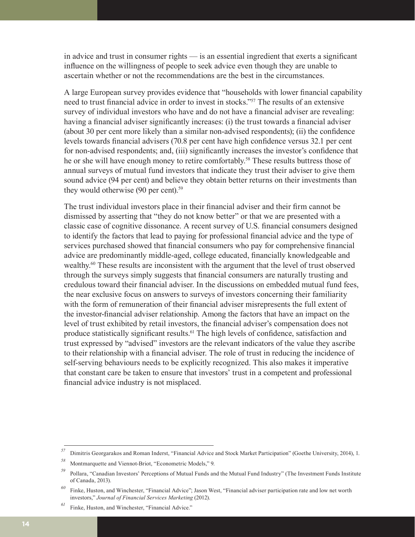in advice and trust in consumer rights — is an essential ingredient that exerts a significant influence on the willingness of people to seek advice even though they are unable to ascertain whether or not the recommendations are the best in the circumstances.

A large European survey provides evidence that "households with lower financial capability need to trust financial advice in order to invest in stocks."57 The results of an extensive survey of individual investors who have and do not have a financial adviser are revealing: having a financial adviser significantly increases: (i) the trust towards a financial adviser (about 30 per cent more likely than a similar non-advised respondents); (ii) the confidence levels towards financial advisers (70.8 per cent have high confidence versus 32.1 per cent for non-advised respondents; and, (iii) significantly increases the investor's confidence that he or she will have enough money to retire comfortably.<sup>58</sup> These results buttress those of annual surveys of mutual fund investors that indicate they trust their adviser to give them sound advice (94 per cent) and believe they obtain better returns on their investments than they would otherwise (90 per cent).<sup>59</sup>

The trust individual investors place in their financial adviser and their firm cannot be dismissed by asserting that "they do not know better" or that we are presented with a classic case of cognitive dissonance. A recent survey of U.S. financial consumers designed to identify the factors that lead to paying for professional financial advice and the type of services purchased showed that financial consumers who pay for comprehensive financial advice are predominantly middle-aged, college educated, financially knowledgeable and wealthy.<sup>60</sup> These results are inconsistent with the argument that the level of trust observed through the surveys simply suggests that financial consumers are naturally trusting and credulous toward their financial adviser. In the discussions on embedded mutual fund fees, the near exclusive focus on answers to surveys of investors concerning their familiarity with the form of remuneration of their financial adviser misrepresents the full extent of the investor-financial adviser relationship. Among the factors that have an impact on the level of trust exhibited by retail investors, the financial adviser's compensation does not produce statistically significant results.<sup>61</sup> The high levels of confidence, satisfaction and trust expressed by "advised" investors are the relevant indicators of the value they ascribe to their relationship with a financial adviser. The role of trust in reducing the incidence of self-serving behaviours needs to be explicitly recognized. This also makes it imperative that constant care be taken to ensure that investors' trust in a competent and professional financial advice industry is not misplaced.

*<sup>57</sup>* Dimitris Georgarakos and Roman Inderst, "Financial Advice and Stock Market Participation" (Goethe University, 2014), 1.

*<sup>58</sup>* Montmarquette and Viennot-Briot, "Econometric Models," 9.

*<sup>59</sup>* Pollara, "Canadian Investors' Perceptions of Mutual Funds and the Mutual Fund Industry" (The Investment Funds Institute of Canada, 2013).

*<sup>60</sup>* Finke, Huston, and Winchester, "Financial Advice"; Jason West, "Financial adviser participation rate and low net worth investors," *Journal of Financial Services Marketing* (2012).

Finke, Huston, and Winchester, "Financial Advice."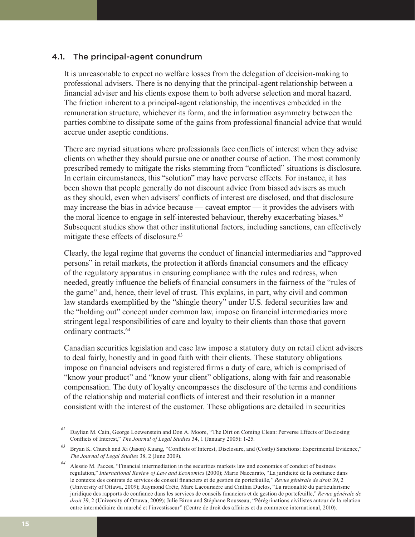### 4.1. The principal-agent conundrum

It is unreasonable to expect no welfare losses from the delegation of decision-making to professional advisers. There is no denying that the principal-agent relationship between a financial adviser and his clients expose them to both adverse selection and moral hazard. The friction inherent to a principal-agent relationship, the incentives embedded in the remuneration structure, whichever its form, and the information asymmetry between the parties combine to dissipate some of the gains from professional financial advice that would accrue under aseptic conditions.

There are myriad situations where professionals face conflicts of interest when they advise clients on whether they should pursue one or another course of action. The most commonly prescribed remedy to mitigate the risks stemming from "conflicted" situations is disclosure. In certain circumstances, this "solution" may have perverse effects. For instance, it has been shown that people generally do not discount advice from biased advisers as much as they should, even when advisers' conflicts of interest are disclosed, and that disclosure may increase the bias in advice because — caveat emptor — it provides the advisers with the moral licence to engage in self-interested behaviour, thereby exacerbating biases. $62$ Subsequent studies show that other institutional factors, including sanctions, can effectively mitigate these effects of disclosure.<sup>63</sup>

Clearly, the legal regime that governs the conduct of financial intermediaries and "approved persons" in retail markets, the protection it affords financial consumers and the efficacy of the regulatory apparatus in ensuring compliance with the rules and redress, when needed, greatly influence the beliefs of financial consumers in the fairness of the "rules of the game" and, hence, their level of trust. This explains, in part, why civil and common law standards exemplified by the "shingle theory" under U.S. federal securities law and the "holding out" concept under common law, impose on financial intermediaries more stringent legal responsibilities of care and loyalty to their clients than those that govern ordinary contracts.<sup>64</sup>

Canadian securities legislation and case law impose a statutory duty on retail client advisers to deal fairly, honestly and in good faith with their clients. These statutory obligations impose on financial advisers and registered firms a duty of care, which is comprised of "know your product" and "know your client" obligations, along with fair and reasonable compensation. The duty of loyalty encompasses the disclosure of the terms and conditions of the relationship and material conflicts of interest and their resolution in a manner consistent with the interest of the customer. These obligations are detailed in securities

*<sup>62</sup>* Daylian M. Cain, George Loewenstein and Don A. Moore, "The Dirt on Coming Clean: Perverse Effects of Disclosing Conflicts of Interest," *The Journal of Legal Studies* 34, 1 (January 2005): 1-25.

*<sup>63</sup>* Bryan K. Church and Xi (Jason) Kuang, "Conflicts of Interest, Disclosure, and (Costly) Sanctions: Experimental Evidence," *The Journal of Legal Studies* 38, 2 (June 2009).

*<sup>64</sup>* Alessio M. Pacces, "Financial intermediation in the securities markets law and economics of conduct of business regulation," *International Review of Law and Economics* (2000); Mario Naccarato, "La juridicité de la confiance dans le contexte des contrats de services de conseil financiers et de gestion de portefeuille*," Revue générale de droit* 39, 2 (University of Ottawa, 2009); Raymond Crête, Marc Lacoursière and Cinthia Duclos, "La rationalité du particularisme juridique des rapports de confiance dans les services de conseils financiers et de gestion de portefeuille," *Revue générale de droit* 39, 2 (University of Ottawa, 2009); Julie Biron and Stéphane Rousseau, "Pérégrinations civilistes autour de la relation entre intermédiaire du marché et l'investisseur" (Centre de droit des affaires et du commerce international, 2010).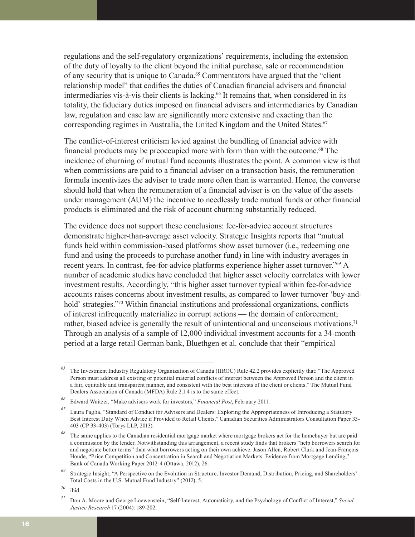regulations and the self-regulatory organizations' requirements, including the extension of the duty of loyalty to the client beyond the initial purchase, sale or recommendation of any security that is unique to Canada.65 Commentators have argued that the "client relationship model" that codifies the duties of Canadian financial advisers and financial intermediaries vis-à-vis their clients is lacking.<sup>66</sup> It remains that, when considered in its totality, the fiduciary duties imposed on financial advisers and intermediaries by Canadian law, regulation and case law are significantly more extensive and exacting than the corresponding regimes in Australia, the United Kingdom and the United States.<sup>67</sup>

The conflict-of-interest criticism levied against the bundling of financial advice with financial products may be preoccupied more with form than with the outcome.68 The incidence of churning of mutual fund accounts illustrates the point. A common view is that when commissions are paid to a financial adviser on a transaction basis, the remuneration formula incentivizes the adviser to trade more often than is warranted. Hence, the converse should hold that when the remuneration of a financial adviser is on the value of the assets under management (AUM) the incentive to needlessly trade mutual funds or other financial products is eliminated and the risk of account churning substantially reduced.

The evidence does not support these conclusions: fee-for-advice account structures demonstrate higher-than-average asset velocity. Strategic Insights reports that "mutual funds held within commission-based platforms show asset turnover (i.e., redeeming one fund and using the proceeds to purchase another fund) in line with industry averages in recent years. In contrast, fee-for-advice platforms experience higher asset turnover."69 A number of academic studies have concluded that higher asset velocity correlates with lower investment results. Accordingly, "this higher asset turnover typical within fee-for-advice accounts raises concerns about investment results, as compared to lower turnover 'buy-andhold' strategies."<sup>70</sup> Within financial institutions and professional organizations, conflicts of interest infrequently materialize in corrupt actions — the domain of enforcement; rather, biased advice is generally the result of unintentional and unconscious motivations.<sup>71</sup> Through an analysis of a sample of 12,000 individual investment accounts for a 34-month period at a large retail German bank, Bluethgen et al. conclude that their "empirical

*<sup>65</sup>* The Investment Industry Regulatory Organization of Canada (IIROC) Rule 42.2 provides explicitly that: "The Approved Person must address all existing or potential material conflicts of interest between the Approved Person and the client in a fair, equitable and transparent manner, and consistent with the best interests of the client or clients." The Mutual Fund Dealers Association of Canada (MFDA) Rule 2.1.4 is to the same effect.

*<sup>66</sup>* Edward Waitzer, "Make advisers work for investors," *Financial Post*, February 2011.

*<sup>67</sup>* Laura Paglia, "Standard of Conduct for Advisers and Dealers: Exploring the Appropriateness of Introducing a Statutory Best Interest Duty When Advice if Provided to Retail Clients," Canadian Securities Administrators Consultation Paper 33- 403 (CP 33-403) (Torys LLP, 2013).

The same applies to the Canadian residential mortgage market where mortgage brokers act for the homebuyer but are paid a commission by the lender. Notwithstanding this arrangement, a recent study finds that brokers "help borrowers search for and negotiate better terms" than what borrowers acting on their own achieve. Jason Allen, Robert Clark and Jean-François Houde, "Price Competition and Concentration in Search and Negotiation Markets: Evidence from Mortgage Lending," Bank of Canada Working Paper 2012-4 (Ottawa, 2012), 26.

*<sup>69</sup>* Strategic Insight, "A Perspective on the Evolution in Structure, Investor Demand, Distribution, Pricing, and Shareholders' Total Costs in the U.S. Mutual Fund Industry" (2012), 5.

*<sup>70</sup>* ibid.

*<sup>71</sup>* Don A. Moore and George Loewenstein, "Self-Interest, Automaticity, and the Psychology of Conflict of Interest," *Social Justice Research* 17 (2004): 189-202.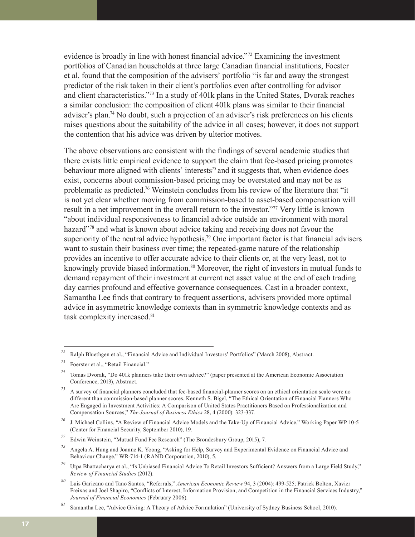evidence is broadly in line with honest financial advice."72 Examining the investment portfolios of Canadian households at three large Canadian financial institutions, Foester et al. found that the composition of the advisers' portfolio "is far and away the strongest predictor of the risk taken in their client's portfolios even after controlling for advisor and client characteristics."73 In a study of 401k plans in the United States, Dvorak reaches a similar conclusion: the composition of client 401k plans was similar to their financial adviser's plan.<sup>74</sup> No doubt, such a projection of an adviser's risk preferences on his clients raises questions about the suitability of the advice in all cases; however, it does not support the contention that his advice was driven by ulterior motives.

The above observations are consistent with the findings of several academic studies that there exists little empirical evidence to support the claim that fee-based pricing promotes behaviour more aligned with clients' interests<sup>75</sup> and it suggests that, when evidence does exist, concerns about commission-based pricing may be overstated and may not be as problematic as predicted.76 Weinstein concludes from his review of the literature that "it is not yet clear whether moving from commission-based to asset-based compensation will result in a net improvement in the overall return to the investor."77 Very little is known "about individual responsiveness to financial advice outside an environment with moral hazard<sup>"78</sup> and what is known about advice taking and receiving does not favour the superiority of the neutral advice hypothesis.<sup>79</sup> One important factor is that financial advisers want to sustain their business over time; the repeated-game nature of the relationship provides an incentive to offer accurate advice to their clients or, at the very least, not to knowingly provide biased information.<sup>80</sup> Moreover, the right of investors in mutual funds to demand repayment of their investment at current net asset value at the end of each trading day carries profound and effective governance consequences. Cast in a broader context, Samantha Lee finds that contrary to frequent assertions, advisers provided more optimal advice in asymmetric knowledge contexts than in symmetric knowledge contexts and as task complexity increased.<sup>81</sup>

*<sup>72</sup>* Ralph Bluethgen et al., "Financial Advice and Individual Investors' Portfolios" (March 2008), Abstract.

*<sup>73</sup>* Foerster et al., "Retail Financial."

*<sup>74</sup>* Tomas Dvorak, "Do 401k planners take their own advice?" (paper presented at the American Economic Association Conference, 2013), Abstract.

*<sup>75</sup>* A survey of financial planners concluded that fee-based financial-planner scores on an ethical orientation scale were no different than commission-based planner scores. Kenneth S. Bigel, "The Ethical Orientation of Financial Planners Who Are Engaged in Investment Activities: A Comparison of United States Practitioners Based on Professionalization and Compensation Sources," *The Journal of Business Ethics* 28, 4 (2000): 323-337.

*<sup>76</sup>* J. Michael Collins, "A Review of Financial Advice Models and the Take-Up of Financial Advice," Working Paper WP 10-5 (Center for Financial Security, September 2010), 19.

*<sup>77</sup>* Edwin Weinstein, "Mutual Fund Fee Research" (The Brondesbury Group, 2015), 7.

*<sup>78</sup>* Angela A. Hung and Joanne K. Yoong, "Asking for Help, Survey and Experimental Evidence on Financial Advice and Behaviour Change," WR-714-1 (RAND Corporation, 2010), 5.

*<sup>79</sup>* Utpa Bhattacharya et al., "Is Unbiased Financial Advice To Retail Investors Sufficient? Answers from a Large Field Study," *Review of Financial Studies* (2012).

*<sup>80</sup>* Luis Garicano and Tano Santos, "Referrals," *American Economic Review* 94, 3 (2004): 499-525; Patrick Bolton, Xavier Freixas and Joel Shapiro, "Conflicts of Interest, Information Provision, and Competition in the Financial Services Industry," *Journal of Financial Economics* (February 2006).

*<sup>81</sup>* Samantha Lee, "Advice Giving: A Theory of Advice Formulation" (University of Sydney Business School, 2010).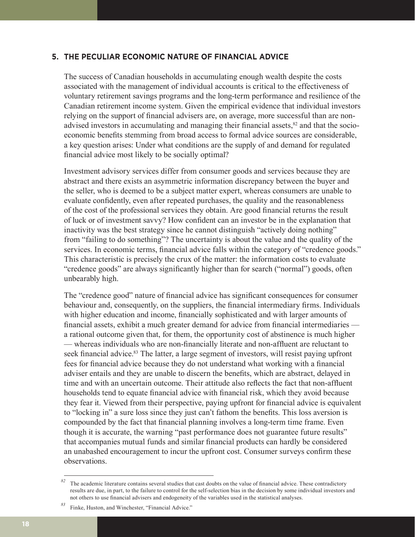### **5. THE PECULIAR ECONOMIC NATURE OF FINANCIAL ADVICE**

The success of Canadian households in accumulating enough wealth despite the costs associated with the management of individual accounts is critical to the effectiveness of voluntary retirement savings programs and the long-term performance and resilience of the Canadian retirement income system. Given the empirical evidence that individual investors relying on the support of financial advisers are, on average, more successful than are nonadvised investors in accumulating and managing their financial assets, $82$  and that the socioeconomic benefits stemming from broad access to formal advice sources are considerable, a key question arises: Under what conditions are the supply of and demand for regulated financial advice most likely to be socially optimal?

Investment advisory services differ from consumer goods and services because they are abstract and there exists an asymmetric information discrepancy between the buyer and the seller, who is deemed to be a subject matter expert, whereas consumers are unable to evaluate confidently, even after repeated purchases, the quality and the reasonableness of the cost of the professional services they obtain. Are good financial returns the result of luck or of investment savvy? How confident can an investor be in the explanation that inactivity was the best strategy since he cannot distinguish "actively doing nothing" from "failing to do something"? The uncertainty is about the value and the quality of the services. In economic terms, financial advice falls within the category of "credence goods." This characteristic is precisely the crux of the matter: the information costs to evaluate "credence goods" are always significantly higher than for search ("normal") goods, often unbearably high.

The "credence good" nature of financial advice has significant consequences for consumer behaviour and, consequently, on the suppliers, the financial intermediary firms. Individuals with higher education and income, financially sophisticated and with larger amounts of financial assets, exhibit a much greater demand for advice from financial intermediaries a rational outcome given that, for them, the opportunity cost of abstinence is much higher — whereas individuals who are non-financially literate and non-affluent are reluctant to seek financial advice.<sup>83</sup> The latter, a large segment of investors, will resist paying upfront fees for financial advice because they do not understand what working with a financial adviser entails and they are unable to discern the benefits, which are abstract, delayed in time and with an uncertain outcome. Their attitude also reflects the fact that non-affluent households tend to equate financial advice with financial risk, which they avoid because they fear it. Viewed from their perspective, paying upfront for financial advice is equivalent to "locking in" a sure loss since they just can't fathom the benefits. This loss aversion is compounded by the fact that financial planning involves a long-term time frame. Even though it is accurate, the warning "past performance does not guarantee future results" that accompanies mutual funds and similar financial products can hardly be considered an unabashed encouragement to incur the upfront cost. Consumer surveys confirm these observations.

 $82$  The academic literature contains several studies that cast doubts on the value of financial advice. These contradictory results are due, in part, to the failure to control for the self-selection bias in the decision by some individual investors and not others to use financial advisers and endogeneity of the variables used in the statistical analyses.

*<sup>83</sup>* Finke, Huston, and Winchester, "Financial Advice."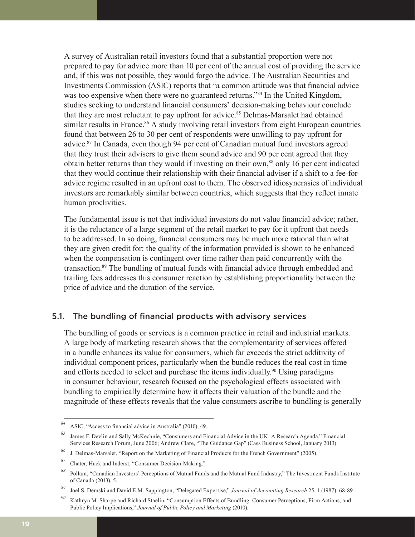A survey of Australian retail investors found that a substantial proportion were not prepared to pay for advice more than 10 per cent of the annual cost of providing the service and, if this was not possible, they would forgo the advice. The Australian Securities and Investments Commission (ASIC) reports that "a common attitude was that financial advice was too expensive when there were no guaranteed returns."<sup>84</sup> In the United Kingdom, studies seeking to understand financial consumers' decision-making behaviour conclude that they are most reluctant to pay upfront for advice.<sup>85</sup> Delmas-Marsalet had obtained similar results in France.<sup>86</sup> A study involving retail investors from eight European countries found that between 26 to 30 per cent of respondents were unwilling to pay upfront for advice.87 In Canada, even though 94 per cent of Canadian mutual fund investors agreed that they trust their advisers to give them sound advice and 90 per cent agreed that they obtain better returns than they would if investing on their own,<sup>88</sup> only 16 per cent indicated that they would continue their relationship with their financial adviser if a shift to a fee-foradvice regime resulted in an upfront cost to them. The observed idiosyncrasies of individual investors are remarkably similar between countries, which suggests that they reflect innate human proclivities.

The fundamental issue is not that individual investors do not value financial advice; rather, it is the reluctance of a large segment of the retail market to pay for it upfront that needs to be addressed. In so doing, financial consumers may be much more rational than what they are given credit for: the quality of the information provided is shown to be enhanced when the compensation is contingent over time rather than paid concurrently with the transaction.89 The bundling of mutual funds with financial advice through embedded and trailing fees addresses this consumer reaction by establishing proportionality between the price of advice and the duration of the service.

### 5.1. The bundling of financial products with advisory services

The bundling of goods or services is a common practice in retail and industrial markets. A large body of marketing research shows that the complementarity of services offered in a bundle enhances its value for consumers, which far exceeds the strict additivity of individual component prices, particularly when the bundle reduces the real cost in time and efforts needed to select and purchase the items individually.<sup>90</sup> Using paradigms in consumer behaviour, research focused on the psychological effects associated with bundling to empirically determine how it affects their valuation of the bundle and the magnitude of these effects reveals that the value consumers ascribe to bundling is generally

*<sup>84</sup>* ASIC, "Access to financial advice in Australia" (2010), 49.

*<sup>85</sup>* James F. Devlin and Sally McKechnie, "Consumers and Financial Advice in the UK: A Research Agenda," Financial Services Research Forum, June 2006; Andrew Clare, "The Guidance Gap" (Cass Business School, January 2013).

*<sup>86</sup>* J. Delmas-Marsalet, "Report on the Marketing of Financial Products for the French Government" (2005).

*<sup>87</sup>* Chater, Huck and Inderst, "Consumer Decision-Making."

*<sup>88</sup>* Pollara, "Canadian Investors' Perceptions of Mutual Funds and the Mutual Fund Industry," The Investment Funds Institute of Canada (2013), 5.

*<sup>89</sup>* Joel S. Demski and David E.M. Sappington, "Delegated Expertise," *Journal of Accounting Research* 25, 1 (1987): 68-89.

*<sup>90</sup>* Kathryn M. Sharpe and Richard Staelin, "Consumption Effects of Bundling: Consumer Perceptions, Firm Actions, and Public Policy Implications," *Journal of Public Policy and Marketing* (2010).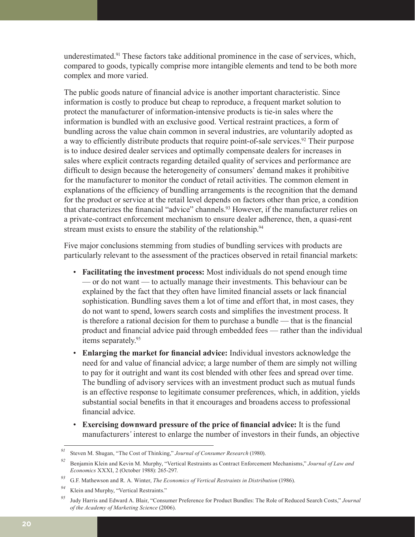underestimated.91 These factors take additional prominence in the case of services, which, compared to goods, typically comprise more intangible elements and tend to be both more complex and more varied.

The public goods nature of financial advice is another important characteristic. Since information is costly to produce but cheap to reproduce, a frequent market solution to protect the manufacturer of information-intensive products is tie-in sales where the information is bundled with an exclusive good. Vertical restraint practices, a form of bundling across the value chain common in several industries, are voluntarily adopted as a way to efficiently distribute products that require point-of-sale services.<sup>92</sup> Their purpose is to induce desired dealer services and optimally compensate dealers for increases in sales where explicit contracts regarding detailed quality of services and performance are difficult to design because the heterogeneity of consumers' demand makes it prohibitive for the manufacturer to monitor the conduct of retail activities. The common element in explanations of the efficiency of bundling arrangements is the recognition that the demand for the product or service at the retail level depends on factors other than price, a condition that characterizes the financial "advice" channels.93 However, if the manufacturer relies on a private-contract enforcement mechanism to ensure dealer adherence, then, a quasi-rent stream must exists to ensure the stability of the relationship.<sup>94</sup>

Five major conclusions stemming from studies of bundling services with products are particularly relevant to the assessment of the practices observed in retail financial markets:

- **Facilitating the investment process:** Most individuals do not spend enough time — or do not want — to actually manage their investments. This behaviour can be explained by the fact that they often have limited financial assets or lack financial sophistication. Bundling saves them a lot of time and effort that, in most cases, they do not want to spend, lowers search costs and simplifies the investment process. It is therefore a rational decision for them to purchase a bundle — that is the financial product and financial advice paid through embedded fees — rather than the individual items separately.<sup>95</sup>
- **Enlarging the market for financial advice:** Individual investors acknowledge the need for and value of financial advice; a large number of them are simply not willing to pay for it outright and want its cost blended with other fees and spread over time. The bundling of advisory services with an investment product such as mutual funds is an effective response to legitimate consumer preferences, which, in addition, yields substantial social benefits in that it encourages and broadens access to professional financial advice.
- **Exercising downward pressure of the price of financial advice:** It is the fund manufacturers*'* interest to enlarge the number of investors in their funds, an objective

*<sup>91</sup>* Steven M. Shugan, "The Cost of Thinking," *Journal of Consumer Research* (1980).

*<sup>92</sup>* Benjamin Klein and Kevin M. Murphy, "Vertical Restraints as Contract Enforcement Mechanisms," *Journal of Law and Economics* XXXI, 2 (October 1988): 265-297.

*<sup>93</sup>* G.F. Mathewson and R. A. Winter, *The Economics of Vertical Restraints in Distribution* (1986).

*<sup>94</sup>* Klein and Murphy, "Vertical Restraints."

*<sup>95</sup>* Judy Harris and Edward A. Blair, "Consumer Preference for Product Bundles: The Role of Reduced Search Costs," *Journal of the Academy of Marketing Science* (2006).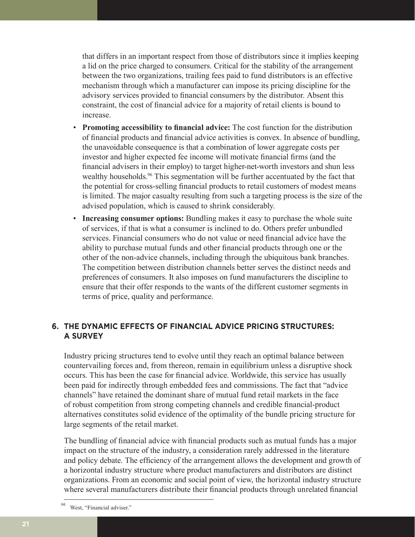that differs in an important respect from those of distributors since it implies keeping a lid on the price charged to consumers. Critical for the stability of the arrangement between the two organizations, trailing fees paid to fund distributors is an effective mechanism through which a manufacturer can impose its pricing discipline for the advisory services provided to financial consumers by the distributor. Absent this constraint, the cost of financial advice for a majority of retail clients is bound to increase.

- **Promoting accessibility to financial advice:** The cost function for the distribution of financial products and financial advice activities is convex. In absence of bundling, the unavoidable consequence is that a combination of lower aggregate costs per investor and higher expected fee income will motivate financial firms (and the financial advisers in their employ) to target higher-net-worth investors and shun less wealthy households.<sup>96</sup> This segmentation will be further accentuated by the fact that the potential for cross-selling financial products to retail customers of modest means is limited. The major casualty resulting from such a targeting process is the size of the advised population, which is caused to shrink considerably.
- **Increasing consumer options:** Bundling makes it easy to purchase the whole suite of services, if that is what a consumer is inclined to do. Others prefer unbundled services. Financial consumers who do not value or need financial advice have the ability to purchase mutual funds and other financial products through one or the other of the non-advice channels, including through the ubiquitous bank branches. The competition between distribution channels better serves the distinct needs and preferences of consumers. It also imposes on fund manufacturers the discipline to ensure that their offer responds to the wants of the different customer segments in terms of price, quality and performance.

# **6. THE DYNAMIC EFFECTS OF FINANCIAL ADVICE PRICING STRUCTURES: A SURVEY**

Industry pricing structures tend to evolve until they reach an optimal balance between countervailing forces and, from thereon, remain in equilibrium unless a disruptive shock occurs. This has been the case for financial advice. Worldwide, this service has usually been paid for indirectly through embedded fees and commissions. The fact that "advice channels" have retained the dominant share of mutual fund retail markets in the face of robust competition from strong competing channels and credible financial-product alternatives constitutes solid evidence of the optimality of the bundle pricing structure for large segments of the retail market.

The bundling of financial advice with financial products such as mutual funds has a major impact on the structure of the industry, a consideration rarely addressed in the literature and policy debate. The efficiency of the arrangement allows the development and growth of a horizontal industry structure where product manufacturers and distributors are distinct organizations. From an economic and social point of view, the horizontal industry structure where several manufacturers distribute their financial products through unrelated financial

*<sup>96</sup>* West, "Financial adviser."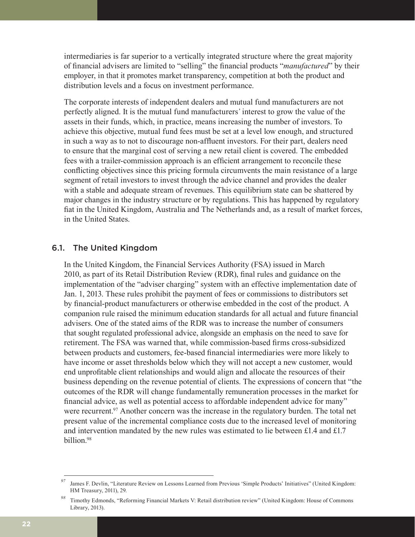intermediaries is far superior to a vertically integrated structure where the great majority of financial advisers are limited to "selling" the financial products "*manufactured*" by their employer, in that it promotes market transparency, competition at both the product and distribution levels and a focus on investment performance.

The corporate interests of independent dealers and mutual fund manufacturers are not perfectly aligned. It is the mutual fund manufacturers*'* interest to grow the value of the assets in their funds, which, in practice, means increasing the number of investors. To achieve this objective, mutual fund fees must be set at a level low enough, and structured in such a way as to not to discourage non-affluent investors. For their part, dealers need to ensure that the marginal cost of serving a new retail client is covered. The embedded fees with a trailer-commission approach is an efficient arrangement to reconcile these conflicting objectives since this pricing formula circumvents the main resistance of a large segment of retail investors to invest through the advice channel and provides the dealer with a stable and adequate stream of revenues. This equilibrium state can be shattered by major changes in the industry structure or by regulations. This has happened by regulatory fiat in the United Kingdom, Australia and The Netherlands and, as a result of market forces, in the United States.

### 6.1. The United Kingdom

In the United Kingdom, the Financial Services Authority (FSA) issued in March 2010, as part of its Retail Distribution Review (RDR), final rules and guidance on the implementation of the "adviser charging" system with an effective implementation date of Jan. 1, 2013. These rules prohibit the payment of fees or commissions to distributors set by financial-product manufacturers or otherwise embedded in the cost of the product. A companion rule raised the minimum education standards for all actual and future financial advisers. One of the stated aims of the RDR was to increase the number of consumers that sought regulated professional advice, alongside an emphasis on the need to save for retirement. The FSA was warned that, while commission-based firms cross-subsidized between products and customers, fee-based financial intermediaries were more likely to have income or asset thresholds below which they will not accept a new customer, would end unprofitable client relationships and would align and allocate the resources of their business depending on the revenue potential of clients. The expressions of concern that "the outcomes of the RDR will change fundamentally remuneration processes in the market for financial advice, as well as potential access to affordable independent advice for many" were recurrent.<sup>97</sup> Another concern was the increase in the regulatory burden. The total net present value of the incremental compliance costs due to the increased level of monitoring and intervention mandated by the new rules was estimated to lie between £1.4 and £1.7 billion.<sup>98</sup>

*<sup>97</sup>* James F. Devlin, "Literature Review on Lessons Learned from Previous 'Simple Products' Initiatives" (United Kingdom: HM Treasury, 2011), 29.

*<sup>98</sup>* Timothy Edmonds, "Reforming Financial Markets V: Retail distribution review" (United Kingdom: House of Commons Library, 2013).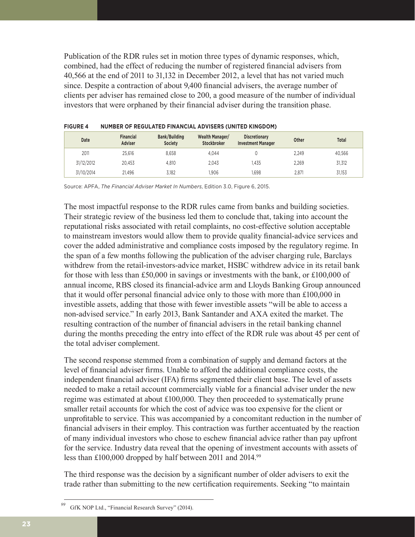Publication of the RDR rules set in motion three types of dynamic responses, which, combined, had the effect of reducing the number of registered financial advisers from 40,566 at the end of 2011 to 31,132 in December 2012, a level that has not varied much since. Despite a contraction of about 9,400 financial advisers, the average number of clients per adviser has remained close to 200, a good measure of the number of individual investors that were orphaned by their financial adviser during the transition phase.

| Date       | <b>Financial</b><br><b>Adviser</b> | <b>Bank/Building</b><br><b>Society</b> | Wealth Manager/<br><b>Stockbroker</b> | <b>Discretionary</b><br><b>Investment Manager</b> | Other | <b>Total</b> |
|------------|------------------------------------|----------------------------------------|---------------------------------------|---------------------------------------------------|-------|--------------|
| 2011       | 25.616                             | 8.658                                  | 4.044                                 |                                                   | 2.249 | 40.566       |
| 31/12/2012 | 20.453                             | 4.810                                  | 2.043                                 | i.435                                             | 2.269 | 31,312       |
| 31/10/2014 | 21.496                             | 3.182                                  | .906                                  | 1.698                                             | 2.871 | 31,153       |

Source: APFA, *The Financial Adviser Market In Numbers*, Edition 3.0, Figure 6, 2015.

The most impactful response to the RDR rules came from banks and building societies. Their strategic review of the business led them to conclude that, taking into account the reputational risks associated with retail complaints, no cost-effective solution acceptable to mainstream investors would allow them to provide quality financial-advice services and cover the added administrative and compliance costs imposed by the regulatory regime. In the span of a few months following the publication of the adviser charging rule, Barclays withdrew from the retail-investors-advice market, HSBC withdrew advice in its retail bank for those with less than £50,000 in savings or investments with the bank, or £100,000 of annual income, RBS closed its financial-advice arm and Lloyds Banking Group announced that it would offer personal financial advice only to those with more than £100,000 in investible assets, adding that those with fewer investible assets "will be able to access a non-advised service." In early 2013, Bank Santander and AXA exited the market. The resulting contraction of the number of financial advisers in the retail banking channel during the months preceding the entry into effect of the RDR rule was about 45 per cent of the total adviser complement.

The second response stemmed from a combination of supply and demand factors at the level of financial adviser firms. Unable to afford the additional compliance costs, the independent financial adviser (IFA) firms segmented their client base. The level of assets needed to make a retail account commercially viable for a financial adviser under the new regime was estimated at about £100,000. They then proceeded to systematically prune smaller retail accounts for which the cost of advice was too expensive for the client or unprofitable to service. This was accompanied by a concomitant reduction in the number of financial advisers in their employ. This contraction was further accentuated by the reaction of many individual investors who chose to eschew financial advice rather than pay upfront for the service. Industry data reveal that the opening of investment accounts with assets of less than £100,000 dropped by half between 2011 and 2014.99

The third response was the decision by a significant number of older advisers to exit the trade rather than submitting to the new certification requirements. Seeking "to maintain

GfK NOP Ltd., "Financial Research Survey" (2014).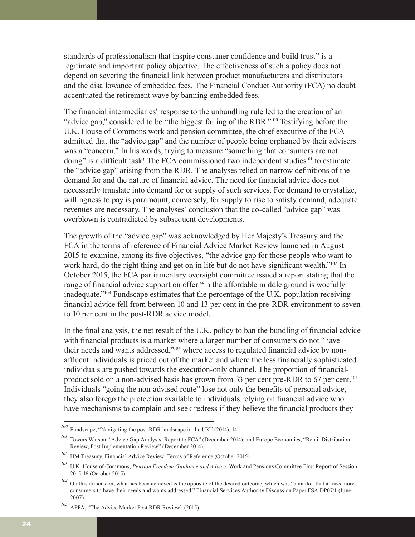standards of professionalism that inspire consumer confidence and build trust" is a legitimate and important policy objective. The effectiveness of such a policy does not depend on severing the financial link between product manufacturers and distributors and the disallowance of embedded fees. The Financial Conduct Authority (FCA) no doubt accentuated the retirement wave by banning embedded fees.

The financial intermediaries' response to the unbundling rule led to the creation of an "advice gap," considered to be "the biggest failing of the RDR."100 Testifying before the U.K. House of Commons work and pension committee, the chief executive of the FCA admitted that the "advice gap" and the number of people being orphaned by their advisers was a "concern." In his words, trying to measure "something that consumers are not doing" is a difficult task! The FCA commissioned two independent studies<sup>101</sup> to estimate the "advice gap" arising from the RDR. The analyses relied on narrow definitions of the demand for and the nature of financial advice. The need for financial advice does not necessarily translate into demand for or supply of such services. For demand to crystalize, willingness to pay is paramount; conversely, for supply to rise to satisfy demand, adequate revenues are necessary. The analyses' conclusion that the co-called "advice gap" was overblown is contradicted by subsequent developments.

The growth of the "advice gap" was acknowledged by Her Majesty's Treasury and the FCA in the terms of reference of Financial Advice Market Review launched in August 2015 to examine, among its five objectives, "the advice gap for those people who want to work hard, do the right thing and get on in life but do not have significant wealth."102 In October 2015, the FCA parliamentary oversight committee issued a report stating that the range of financial advice support on offer "in the affordable middle ground is woefully inadequate."103 Fundscape estimates that the percentage of the U.K. population receiving financial advice fell from between 10 and 13 per cent in the pre-RDR environment to seven to 10 per cent in the post-RDR advice model.

In the final analysis, the net result of the U.K. policy to ban the bundling of financial advice with financial products is a market where a larger number of consumers do not "have their needs and wants addressed,"104 where access to regulated financial advice by nonaffluent individuals is priced out of the market and where the less financially sophisticated individuals are pushed towards the execution-only channel. The proportion of financialproduct sold on a non-advised basis has grown from 33 per cent pre-RDR to 67 per cent.105 Individuals "going the non-advised route" lose not only the benefits of personal advice, they also forego the protection available to individuals relying on financial advice who have mechanisms to complain and seek redress if they believe the financial products they

*<sup>100</sup>* Fundscape, "Navigating the post-RDR landscape in the UK" (2014), 14.

<sup>&</sup>lt;sup>101</sup> Towers Watson, "Advice Gap Analysis: Report to FCA" (December 2014); and Europe Economics, "Retail Distribution Review, Post Implementation Review" (December 2014).

*<sup>102</sup>* HM Treasury, Financial Advice Review: Terms of Reference (October 2015).

*<sup>103</sup>* U.K. House of Commons, *Pension Freedom Guidance and Advice*, Work and Pensions Committee First Report of Session 2015-16 (October 2015).

<sup>&</sup>lt;sup>104</sup> On this dimension, what has been achieved is the opposite of the desired outcome, which was "a market that allows more consumers to have their needs and wants addressed." Financial Services Authority Discussion Paper FSA DP07/1 (June 2007).

*<sup>105</sup>* APFA, "The Advice Market Post RDR Review" (2015).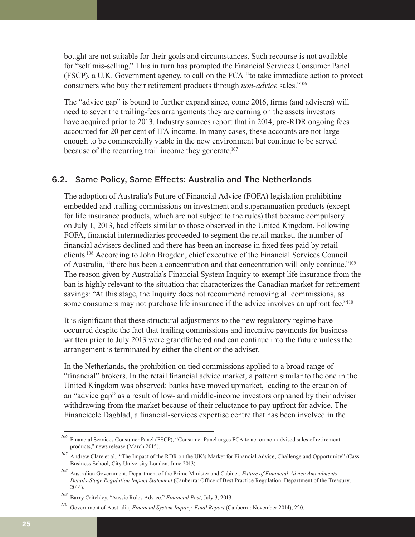bought are not suitable for their goals and circumstances. Such recourse is not available for "self mis-selling." This in turn has prompted the Financial Services Consumer Panel (FSCP), a U.K. Government agency, to call on the FCA "to take immediate action to protect consumers who buy their retirement products through *non-advice* sales."106

The "advice gap" is bound to further expand since, come 2016, firms (and advisers) will need to sever the trailing-fees arrangements they are earning on the assets investors have acquired prior to 2013. Industry sources report that in 2014, pre-RDR ongoing fees accounted for 20 per cent of IFA income. In many cases, these accounts are not large enough to be commercially viable in the new environment but continue to be served because of the recurring trail income they generate.<sup>107</sup>

### 6.2. Same Policy, Same Effects: Australia and The Netherlands

The adoption of Australia's Future of Financial Advice (FOFA) legislation prohibiting embedded and trailing commissions on investment and superannuation products (except for life insurance products, which are not subject to the rules) that became compulsory on July 1, 2013, had effects similar to those observed in the United Kingdom. Following FOFA, financial intermediaries proceeded to segment the retail market, the number of financial advisers declined and there has been an increase in fixed fees paid by retail clients.108 According to John Brogden, chief executive of the Financial Services Council of Australia, "there has been a concentration and that concentration will only continue."109 The reason given by Australia's Financial System Inquiry to exempt life insurance from the ban is highly relevant to the situation that characterizes the Canadian market for retirement savings: "At this stage, the Inquiry does not recommend removing all commissions, as some consumers may not purchase life insurance if the advice involves an upfront fee."<sup>110</sup>

It is significant that these structural adjustments to the new regulatory regime have occurred despite the fact that trailing commissions and incentive payments for business written prior to July 2013 were grandfathered and can continue into the future unless the arrangement is terminated by either the client or the adviser.

In the Netherlands, the prohibition on tied commissions applied to a broad range of "financial" brokers. In the retail financial advice market, a pattern similar to the one in the United Kingdom was observed: banks have moved upmarket, leading to the creation of an "advice gap" as a result of low- and middle-income investors orphaned by their adviser withdrawing from the market because of their reluctance to pay upfront for advice. The Financieele Dagblad, a financial-services expertise centre that has been involved in the

*<sup>106</sup>* Financial Services Consumer Panel (FSCP), "Consumer Panel urges FCA to act on non-advised sales of retirement products," news release (March 2015).

<sup>&</sup>lt;sup>107</sup> Andrew Clare et al., "The Impact of the RDR on the UK's Market for Financial Advice, Challenge and Opportunity" (Cass Business School, City University London, June 2013).

*<sup>108</sup>* Australian Government, Department of the Prime Minister and Cabinet, *Future of Financial Advice Amendments — Details-Stage Regulation Impact Statement* (Canberra: Office of Best Practice Regulation, Department of the Treasury, 2014).

*<sup>109</sup>* Barry Critchley, "Aussie Rules Advice," *Financial Post*, July 3, 2013.

*<sup>110</sup>* Government of Australia, *Financial System Inquiry, Final Report* (Canberra: November 2014), 220.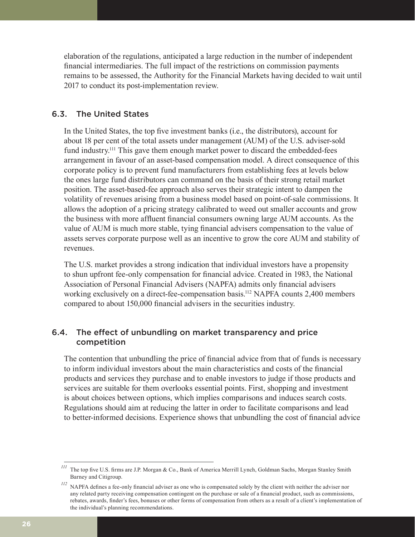elaboration of the regulations, anticipated a large reduction in the number of independent financial intermediaries. The full impact of the restrictions on commission payments remains to be assessed, the Authority for the Financial Markets having decided to wait until 2017 to conduct its post-implementation review.

### 6.3. The United States

In the United States, the top five investment banks (i.e., the distributors), account for about 18 per cent of the total assets under management (AUM) of the U.S. adviser-sold fund industry.<sup>111</sup> This gave them enough market power to discard the embedded-fees arrangement in favour of an asset-based compensation model. A direct consequence of this corporate policy is to prevent fund manufacturers from establishing fees at levels below the ones large fund distributors can command on the basis of their strong retail market position. The asset-based-fee approach also serves their strategic intent to dampen the volatility of revenues arising from a business model based on point-of-sale commissions. It allows the adoption of a pricing strategy calibrated to weed out smaller accounts and grow the business with more affluent financial consumers owning large AUM accounts. As the value of AUM is much more stable, tying financial advisers compensation to the value of assets serves corporate purpose well as an incentive to grow the core AUM and stability of revenues.

The U.S. market provides a strong indication that individual investors have a propensity to shun upfront fee-only compensation for financial advice. Created in 1983, the National Association of Personal Financial Advisers (NAPFA) admits only financial advisers working exclusively on a direct-fee-compensation basis.<sup>112</sup> NAPFA counts 2,400 members compared to about 150,000 financial advisers in the securities industry.

## 6.4. The effect of unbundling on market transparency and price competition

The contention that unbundling the price of financial advice from that of funds is necessary to inform individual investors about the main characteristics and costs of the financial products and services they purchase and to enable investors to judge if those products and services are suitable for them overlooks essential points. First, shopping and investment is about choices between options, which implies comparisons and induces search costs. Regulations should aim at reducing the latter in order to facilitate comparisons and lead to better-informed decisions. Experience shows that unbundling the cost of financial advice

*<sup>111</sup>* The top five U.S. firms are J.P. Morgan & Co., Bank of America Merrill Lynch, Goldman Sachs, Morgan Stanley Smith Barney and Citigroup.

<sup>&</sup>lt;sup>112</sup> NAPFA defines a fee-only financial adviser as one who is compensated solely by the client with neither the adviser nor any related party receiving compensation contingent on the purchase or sale of a financial product, such as commissions, rebates, awards, finder's fees, bonuses or other forms of compensation from others as a result of a client's implementation of the individual's planning recommendations.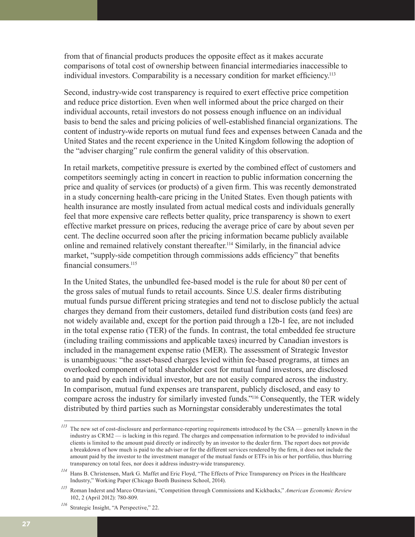from that of financial products produces the opposite effect as it makes accurate comparisons of total cost of ownership between financial intermediaries inaccessible to individual investors. Comparability is a necessary condition for market efficiency.<sup>113</sup>

Second, industry-wide cost transparency is required to exert effective price competition and reduce price distortion. Even when well informed about the price charged on their individual accounts, retail investors do not possess enough influence on an individual basis to bend the sales and pricing policies of well-established financial organizations. The content of industry-wide reports on mutual fund fees and expenses between Canada and the United States and the recent experience in the United Kingdom following the adoption of the "adviser charging" rule confirm the general validity of this observation.

In retail markets, competitive pressure is exerted by the combined effect of customers and competitors seemingly acting in concert in reaction to public information concerning the price and quality of services (or products) of a given firm. This was recently demonstrated in a study concerning health-care pricing in the United States. Even though patients with health insurance are mostly insulated from actual medical costs and individuals generally feel that more expensive care reflects better quality, price transparency is shown to exert effective market pressure on prices, reducing the average price of care by about seven per cent. The decline occurred soon after the pricing information became publicly available online and remained relatively constant thereafter.114 Similarly, in the financial advice market, "supply-side competition through commissions adds efficiency" that benefits financial consumers.<sup>115</sup>

In the United States, the unbundled fee-based model is the rule for about 80 per cent of the gross sales of mutual funds to retail accounts. Since U.S. dealer firms distributing mutual funds pursue different pricing strategies and tend not to disclose publicly the actual charges they demand from their customers, detailed fund distribution costs (and fees) are not widely available and, except for the portion paid through a 12b-1 fee, are not included in the total expense ratio (TER) of the funds. In contrast, the total embedded fee structure (including trailing commissions and applicable taxes) incurred by Canadian investors is included in the management expense ratio (MER). The assessment of Strategic Investor is unambiguous: "the asset-based charges levied within fee-based programs, at times an overlooked component of total shareholder cost for mutual fund investors, are disclosed to and paid by each individual investor, but are not easily compared across the industry. In comparison, mutual fund expenses are transparent, publicly disclosed, and easy to compare across the industry for similarly invested funds."116 Consequently, the TER widely distributed by third parties such as Morningstar considerably underestimates the total

<sup>&</sup>lt;sup>113</sup> The new set of cost-disclosure and performance-reporting requirements introduced by the CSA — generally known in the industry as CRM2 — is lacking in this regard. The charges and compensation information to be provided to individual clients is limited to the amount paid directly or indirectly by an investor to the dealer firm. The report does not provide a breakdown of how much is paid to the adviser or for the different services rendered by the firm, it does not include the amount paid by the investor to the investment manager of the mutual funds or ETFs in his or her portfolio, thus blurring transparency on total fees, nor does it address industry-wide transparency.

*<sup>114</sup>* Hans B. Christensen, Mark G. Maffet and Eric Floyd, "The Effects of Price Transparency on Prices in the Healthcare Industry," Working Paper (Chicago Booth Business School, 2014).

*<sup>115</sup>* Roman Inderst and Marco Ottaviani, "Competition through Commissions and Kickbacks," *American Economic Review*  102, 2 (April 2012): 780-809.

*<sup>116</sup>* Strategic Insight, "A Perspective," 22.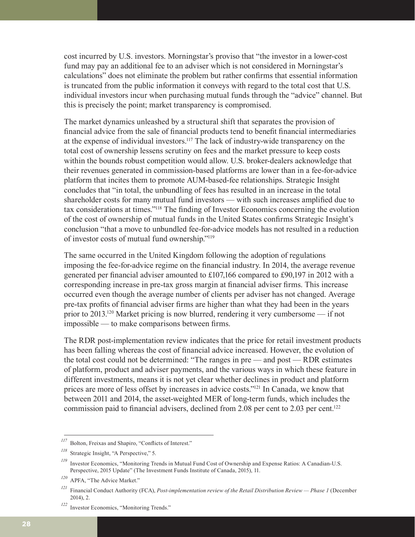cost incurred by U.S. investors. Morningstar's proviso that "the investor in a lower-cost fund may pay an additional fee to an adviser which is not considered in Morningstar's calculations" does not eliminate the problem but rather confirms that essential information is truncated from the public information it conveys with regard to the total cost that U.S. individual investors incur when purchasing mutual funds through the "advice" channel. But this is precisely the point; market transparency is compromised.

The market dynamics unleashed by a structural shift that separates the provision of financial advice from the sale of financial products tend to benefit financial intermediaries at the expense of individual investors.117 The lack of industry-wide transparency on the total cost of ownership lessens scrutiny on fees and the market pressure to keep costs within the bounds robust competition would allow. U.S. broker-dealers acknowledge that their revenues generated in commission-based platforms are lower than in a fee-for-advice platform that incites them to promote AUM-based-fee relationships. Strategic Insight concludes that "in total, the unbundling of fees has resulted in an increase in the total shareholder costs for many mutual fund investors — with such increases amplified due to tax considerations at times."118 The finding of Investor Economics concerning the evolution of the cost of ownership of mutual funds in the United States confirms Strategic Insight's conclusion "that a move to unbundled fee-for-advice models has not resulted in a reduction of investor costs of mutual fund ownership."119

The same occurred in the United Kingdom following the adoption of regulations imposing the fee-for-advice regime on the financial industry. In 2014, the average revenue generated per financial adviser amounted to £107,166 compared to £90,197 in 2012 with a corresponding increase in pre-tax gross margin at financial adviser firms. This increase occurred even though the average number of clients per adviser has not changed. Average pre-tax profits of financial adviser firms are higher than what they had been in the years prior to 2013.120 Market pricing is now blurred, rendering it very cumbersome — if not impossible — to make comparisons between firms.

The RDR post-implementation review indicates that the price for retail investment products has been falling whereas the cost of financial advice increased. However, the evolution of the total cost could not be determined: "The ranges in pre — and post — RDR estimates of platform, product and adviser payments, and the various ways in which these feature in different investments, means it is not yet clear whether declines in product and platform prices are more of less offset by increases in advice costs."<sup>121</sup> In Canada, we know that between 2011 and 2014, the asset-weighted MER of long-term funds, which includes the commission paid to financial advisers, declined from 2.08 per cent to 2.03 per cent.<sup>122</sup>

*<sup>117</sup>* Bolton, Freixas and Shapiro, "Conflicts of Interest."

*<sup>118</sup>* Strategic Insight, "A Perspective," 5.

*<sup>119</sup>* Investor Economics, "Monitoring Trends in Mutual Fund Cost of Ownership and Expense Ratios: A Canadian-U.S. Perspective, 2015 Update" (The Investment Funds Institute of Canada, 2015), 11.

*<sup>120</sup>* APFA, "The Advice Market."

*<sup>121</sup>* Financial Conduct Authority (FCA), *Post-implementation review of the Retail Distribution Review — Phase 1* (December 2014), 2.

*<sup>122</sup>* Investor Economics, "Monitoring Trends."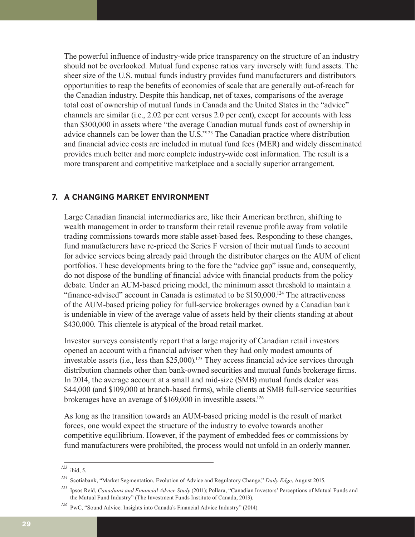The powerful influence of industry-wide price transparency on the structure of an industry should not be overlooked. Mutual fund expense ratios vary inversely with fund assets. The sheer size of the U.S. mutual funds industry provides fund manufacturers and distributors opportunities to reap the benefits of economies of scale that are generally out-of-reach for the Canadian industry. Despite this handicap, net of taxes, comparisons of the average total cost of ownership of mutual funds in Canada and the United States in the "advice" channels are similar (i.e., 2.02 per cent versus 2.0 per cent), except for accounts with less than \$300,000 in assets where "the average Canadian mutual funds cost of ownership in advice channels can be lower than the U.S."123 The Canadian practice where distribution and financial advice costs are included in mutual fund fees (MER) and widely disseminated provides much better and more complete industry-wide cost information. The result is a more transparent and competitive marketplace and a socially superior arrangement.

### **7. A CHANGING MARKET ENVIRONMENT**

Large Canadian financial intermediaries are, like their American brethren, shifting to wealth management in order to transform their retail revenue profile away from volatile trading commissions towards more stable asset-based fees. Responding to these changes, fund manufacturers have re-priced the Series F version of their mutual funds to account for advice services being already paid through the distributor charges on the AUM of client portfolios. These developments bring to the fore the "advice gap" issue and, consequently, do not dispose of the bundling of financial advice with financial products from the policy debate. Under an AUM-based pricing model, the minimum asset threshold to maintain a "finance-advised" account in Canada is estimated to be \$150,000.124 The attractiveness of the AUM-based pricing policy for full-service brokerages owned by a Canadian bank is undeniable in view of the average value of assets held by their clients standing at about \$430,000. This clientele is atypical of the broad retail market.

Investor surveys consistently report that a large majority of Canadian retail investors opened an account with a financial adviser when they had only modest amounts of investable assets (i.e., less than \$25,000).<sup>125</sup> They access financial advice services through distribution channels other than bank-owned securities and mutual funds brokerage firms. In 2014, the average account at a small and mid-size (SMB) mutual funds dealer was \$44,000 (and \$109,000 at branch-based firms), while clients at SMB full-service securities brokerages have an average of \$169,000 in investible assets.126

As long as the transition towards an AUM-based pricing model is the result of market forces, one would expect the structure of the industry to evolve towards another competitive equilibrium. However, if the payment of embedded fees or commissions by fund manufacturers were prohibited, the process would not unfold in an orderly manner.

*<sup>123</sup>* ibid, 5.

*<sup>124</sup>* Scotiabank, "Market Segmentation, Evolution of Advice and Regulatory Change," *Daily Edge*, August 2015.

*<sup>125</sup>* Ipsos Reid, *Canadians and Financial Advice Study* (2011); Pollara, "Canadian Investors' Perceptions of Mutual Funds and the Mutual Fund Industry" (The Investment Funds Institute of Canada, 2013).

*<sup>126</sup>* PwC, "Sound Advice: Insights into Canada's Financial Advice Industry" (2014).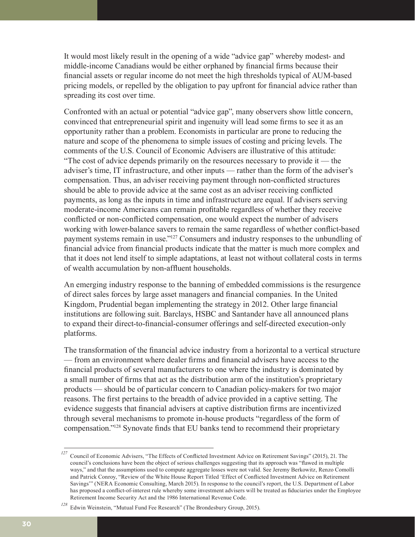It would most likely result in the opening of a wide "advice gap" whereby modest- and middle-income Canadians would be either orphaned by financial firms because their financial assets or regular income do not meet the high thresholds typical of AUM-based pricing models, or repelled by the obligation to pay upfront for financial advice rather than spreading its cost over time.

Confronted with an actual or potential "advice gap", many observers show little concern, convinced that entrepreneurial spirit and ingenuity will lead some firms to see it as an opportunity rather than a problem. Economists in particular are prone to reducing the nature and scope of the phenomena to simple issues of costing and pricing levels. The comments of the U.S. Council of Economic Advisers are illustrative of this attitude: "The cost of advice depends primarily on the resources necessary to provide it — the adviser's time, IT infrastructure, and other inputs — rather than the form of the adviser's compensation. Thus, an adviser receiving payment through non-conflicted structures should be able to provide advice at the same cost as an adviser receiving conflicted payments, as long as the inputs in time and infrastructure are equal. If advisers serving moderate-income Americans can remain profitable regardless of whether they receive conflicted or non-conflicted compensation, one would expect the number of advisers working with lower-balance savers to remain the same regardless of whether conflict-based payment systems remain in use."127 Consumers and industry responses to the unbundling of financial advice from financial products indicate that the matter is much more complex and that it does not lend itself to simple adaptations, at least not without collateral costs in terms of wealth accumulation by non-affluent households.

An emerging industry response to the banning of embedded commissions is the resurgence of direct sales forces by large asset managers and financial companies. In the United Kingdom, Prudential began implementing the strategy in 2012. Other large financial institutions are following suit. Barclays, HSBC and Santander have all announced plans to expand their direct-to-financial-consumer offerings and self-directed execution-only platforms.

The transformation of the financial advice industry from a horizontal to a vertical structure — from an environment where dealer firms and financial advisers have access to the financial products of several manufacturers to one where the industry is dominated by a small number of firms that act as the distribution arm of the institution's proprietary products — should be of particular concern to Canadian policy-makers for two major reasons. The first pertains to the breadth of advice provided in a captive setting. The evidence suggests that financial advisers at captive distribution firms are incentivized through several mechanisms to promote in-house products "regardless of the form of compensation."128 Synovate finds that EU banks tend to recommend their proprietary

<sup>&</sup>lt;sup>127</sup> Council of Economic Advisers, "The Effects of Conflicted Investment Advice on Retirement Savings" (2015), 21. The council's conclusions have been the object of serious challenges suggesting that its approach was "flawed in multiple ways," and that the assumptions used to compute aggregate losses were not valid. See Jeremy Berkowitz, Renzo Comolli and Patrick Conroy, "Review of the White House Report Titled 'Effect of Conflicted Investment Advice on Retirement Savings'" (NERA Economic Consulting, March 2015). In response to the council's report, the U.S. Department of Labor has proposed a conflict-of-interest rule whereby some investment advisers will be treated as fiduciaries under the Employee Retirement Income Security Act and the 1986 International Revenue Code.

*<sup>128</sup>* Edwin Weinstein, "Mutual Fund Fee Research" (The Brondesbury Group, 2015).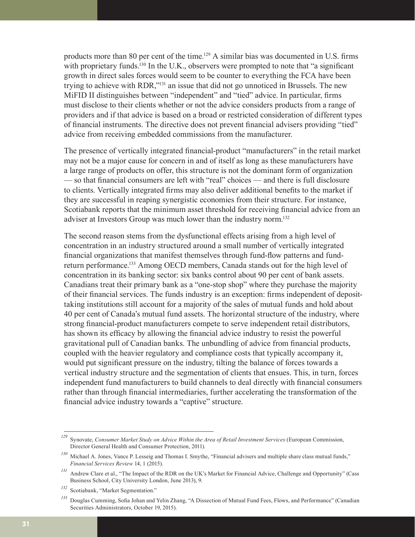products more than 80 per cent of the time.129 A similar bias was documented in U.S. firms with proprietary funds.<sup>130</sup> In the U.K., observers were prompted to note that "a significant" growth in direct sales forces would seem to be counter to everything the FCA have been trying to achieve with RDR,"131 an issue that did not go unnoticed in Brussels. The new MiFID II distinguishes between "independent" and "tied" advice. In particular, firms must disclose to their clients whether or not the advice considers products from a range of providers and if that advice is based on a broad or restricted consideration of different types of financial instruments. The directive does not prevent financial advisers providing "tied" advice from receiving embedded commissions from the manufacturer.

The presence of vertically integrated financial-product "manufacturers" in the retail market may not be a major cause for concern in and of itself as long as these manufacturers have a large range of products on offer, this structure is not the dominant form of organization — so that financial consumers are left with "real" choices — and there is full disclosure to clients. Vertically integrated firms may also deliver additional benefits to the market if they are successful in reaping synergistic economies from their structure. For instance, Scotiabank reports that the minimum asset threshold for receiving financial advice from an adviser at Investors Group was much lower than the industry norm.<sup>132</sup>

The second reason stems from the dysfunctional effects arising from a high level of concentration in an industry structured around a small number of vertically integrated financial organizations that manifest themselves through fund-flow patterns and fundreturn performance.133 Among OECD members, Canada stands out for the high level of concentration in its banking sector: six banks control about 90 per cent of bank assets. Canadians treat their primary bank as a "one-stop shop" where they purchase the majority of their financial services. The funds industry is an exception: firms independent of deposittaking institutions still account for a majority of the sales of mutual funds and hold about 40 per cent of Canada's mutual fund assets. The horizontal structure of the industry, where strong financial-product manufacturers compete to serve independent retail distributors, has shown its efficacy by allowing the financial advice industry to resist the powerful gravitational pull of Canadian banks. The unbundling of advice from financial products, coupled with the heavier regulatory and compliance costs that typically accompany it, would put significant pressure on the industry, tilting the balance of forces towards a vertical industry structure and the segmentation of clients that ensues. This, in turn, forces independent fund manufacturers to build channels to deal directly with financial consumers rather than through financial intermediaries, further accelerating the transformation of the financial advice industry towards a "captive" structure.

*<sup>129</sup>* Synovate, *Consumer Market Study on Advice Within the Area of Retail Investment Services* (European Commission, Director General Health and Consumer Protection, 2011).

*<sup>130</sup>* Michael A. Jones, Vance P. Lesseig and Thomas I. Smythe, "Financial advisers and multiple share class mutual funds," *Financial Services Review* 14, 1 (2015).

*<sup>131</sup>* Andrew Clare et al., "The Impact of the RDR on the UK's Market for Financial Advice, Challenge and Opportunity" (Cass Business School, City University London, June 2013), 9.

*<sup>132</sup>* Scotiabank, "Market Segmentation."

*<sup>133</sup>* Douglas Cumming, Sofia Johan and Yelin Zhang, "A Dissection of Mutual Fund Fees, Flows, and Performance" (Canadian Securities Administrators, October 19, 2015).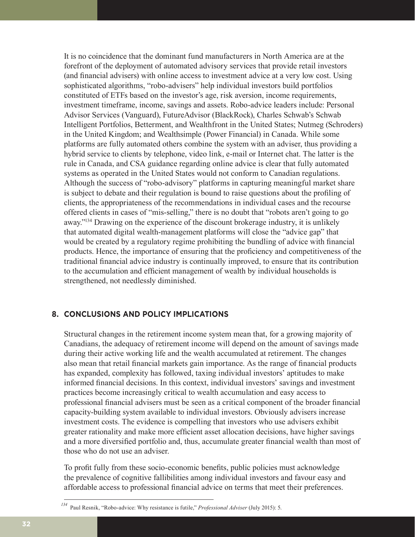It is no coincidence that the dominant fund manufacturers in North America are at the forefront of the deployment of automated advisory services that provide retail investors (and financial advisers) with online access to investment advice at a very low cost. Using sophisticated algorithms, "robo-advisers" help individual investors build portfolios constituted of ETFs based on the investor's age, risk aversion, income requirements, investment timeframe, income, savings and assets. Robo-advice leaders include: Personal Advisor Services (Vanguard), FutureAdvisor (BlackRock), Charles Schwab's Schwab Intelligent Portfolios, Betterment, and Wealthfront in the United States; Nutmeg (Schroders) in the United Kingdom; and Wealthsimple (Power Financial) in Canada. While some platforms are fully automated others combine the system with an adviser, thus providing a hybrid service to clients by telephone, video link, e-mail or Internet chat. The latter is the rule in Canada, and CSA guidance regarding online advice is clear that fully automated systems as operated in the United States would not conform to Canadian regulations. Although the success of "robo-advisory" platforms in capturing meaningful market share is subject to debate and their regulation is bound to raise questions about the profiling of clients, the appropriateness of the recommendations in individual cases and the recourse offered clients in cases of "mis-selling," there is no doubt that "robots aren't going to go away."134 Drawing on the experience of the discount brokerage industry, it is unlikely that automated digital wealth-management platforms will close the "advice gap" that would be created by a regulatory regime prohibiting the bundling of advice with financial products. Hence, the importance of ensuring that the proficiency and competitiveness of the traditional financial advice industry is continually improved, to ensure that its contribution to the accumulation and efficient management of wealth by individual households is strengthened, not needlessly diminished.

## **8. CONCLUSIONS AND POLICY IMPLICATIONS**

Structural changes in the retirement income system mean that, for a growing majority of Canadians, the adequacy of retirement income will depend on the amount of savings made during their active working life and the wealth accumulated at retirement. The changes also mean that retail financial markets gain importance. As the range of financial products has expanded, complexity has followed, taxing individual investors' aptitudes to make informed financial decisions. In this context, individual investors' savings and investment practices become increasingly critical to wealth accumulation and easy access to professional financial advisers must be seen as a critical component of the broader financial capacity-building system available to individual investors. Obviously advisers increase investment costs. The evidence is compelling that investors who use advisers exhibit greater rationality and make more efficient asset allocation decisions, have higher savings and a more diversified portfolio and, thus, accumulate greater financial wealth than most of those who do not use an adviser.

To profit fully from these socio-economic benefits, public policies must acknowledge the prevalence of cognitive fallibilities among individual investors and favour easy and affordable access to professional financial advice on terms that meet their preferences.

*<sup>134</sup>* Paul Resnik, "Robo-advice: Why resistance is futile," *Professional Adviser* (July 2015): 5.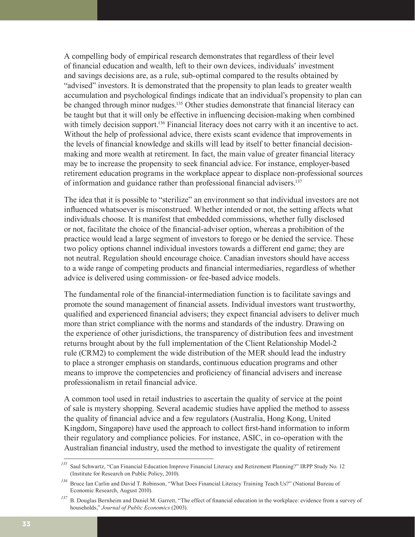A compelling body of empirical research demonstrates that regardless of their level of financial education and wealth, left to their own devices, individuals' investment and savings decisions are, as a rule, sub-optimal compared to the results obtained by "advised" investors. It is demonstrated that the propensity to plan leads to greater wealth accumulation and psychological findings indicate that an individual's propensity to plan can be changed through minor nudges.<sup>135</sup> Other studies demonstrate that financial literacy can be taught but that it will only be effective in influencing decision-making when combined with timely decision support.<sup>136</sup> Financial literacy does not carry with it an incentive to act. Without the help of professional advice, there exists scant evidence that improvements in the levels of financial knowledge and skills will lead by itself to better financial decisionmaking and more wealth at retirement. In fact, the main value of greater financial literacy may be to increase the propensity to seek financial advice. For instance, employer-based retirement education programs in the workplace appear to displace non-professional sources of information and guidance rather than professional financial advisers.137

The idea that it is possible to "sterilize" an environment so that individual investors are not influenced whatsoever is misconstrued. Whether intended or not, the setting affects what individuals choose. It is manifest that embedded commissions, whether fully disclosed or not, facilitate the choice of the financial-adviser option, whereas a prohibition of the practice would lead a large segment of investors to forego or be denied the service. These two policy options channel individual investors towards a different end game; they are not neutral. Regulation should encourage choice. Canadian investors should have access to a wide range of competing products and financial intermediaries, regardless of whether advice is delivered using commission- or fee-based advice models.

The fundamental role of the financial-intermediation function is to facilitate savings and promote the sound management of financial assets. Individual investors want trustworthy, qualified and experienced financial advisers; they expect financial advisers to deliver much more than strict compliance with the norms and standards of the industry. Drawing on the experience of other jurisdictions, the transparency of distribution fees and investment returns brought about by the full implementation of the Client Relationship Model-2 rule (CRM2) to complement the wide distribution of the MER should lead the industry to place a stronger emphasis on standards, continuous education programs and other means to improve the competencies and proficiency of financial advisers and increase professionalism in retail financial advice.

A common tool used in retail industries to ascertain the quality of service at the point of sale is mystery shopping. Several academic studies have applied the method to assess the quality of financial advice and a few regulators (Australia, Hong Kong, United Kingdom, Singapore) have used the approach to collect first-hand information to inform their regulatory and compliance policies. For instance, ASIC, in co-operation with the Australian financial industry, used the method to investigate the quality of retirement

*<sup>135</sup>* Saul Schwartz, "Can Financial Education Improve Financial Literacy and Retirement Planning?" IRPP Study No. 12 (Institute for Research on Public Policy, 2010).

*<sup>136</sup>* Bruce Ian Carlin and David T. Robinson, "What Does Financial Literacy Training Teach Us?" (National Bureau of Economic Research, August 2010).

*<sup>137</sup>* B. Douglas Bernheim and Daniel M. Garrett, "The effect of financial education in the workplace: evidence from a survey of households," *Journal of Public Economics* (2003).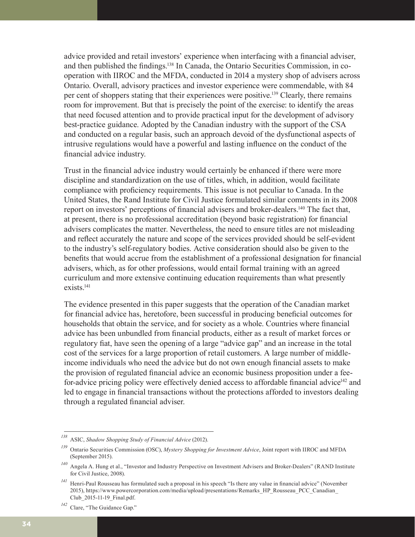advice provided and retail investors' experience when interfacing with a financial adviser, and then published the findings.138 In Canada, the Ontario Securities Commission, in cooperation with IIROC and the MFDA, conducted in 2014 a mystery shop of advisers across Ontario. Overall, advisory practices and investor experience were commendable, with 84 per cent of shoppers stating that their experiences were positive.139 Clearly, there remains room for improvement. But that is precisely the point of the exercise: to identify the areas that need focused attention and to provide practical input for the development of advisory best-practice guidance. Adopted by the Canadian industry with the support of the CSA and conducted on a regular basis, such an approach devoid of the dysfunctional aspects of intrusive regulations would have a powerful and lasting influence on the conduct of the financial advice industry.

Trust in the financial advice industry would certainly be enhanced if there were more discipline and standardization on the use of titles, which, in addition, would facilitate compliance with proficiency requirements. This issue is not peculiar to Canada. In the United States, the Rand Institute for Civil Justice formulated similar comments in its 2008 report on investors' perceptions of financial advisers and broker-dealers.140 The fact that, at present, there is no professional accreditation (beyond basic registration) for financial advisers complicates the matter. Nevertheless, the need to ensure titles are not misleading and reflect accurately the nature and scope of the services provided should be self-evident to the industry's self-regulatory bodies. Active consideration should also be given to the benefits that would accrue from the establishment of a professional designation for financial advisers, which, as for other professions, would entail formal training with an agreed curriculum and more extensive continuing education requirements than what presently exists.<sup>141</sup>

The evidence presented in this paper suggests that the operation of the Canadian market for financial advice has, heretofore, been successful in producing beneficial outcomes for households that obtain the service, and for society as a whole. Countries where financial advice has been unbundled from financial products, either as a result of market forces or regulatory fiat, have seen the opening of a large "advice gap" and an increase in the total cost of the services for a large proportion of retail customers. A large number of middleincome individuals who need the advice but do not own enough financial assets to make the provision of regulated financial advice an economic business proposition under a feefor-advice pricing policy were effectively denied access to affordable financial advice<sup>142</sup> and led to engage in financial transactions without the protections afforded to investors dealing through a regulated financial adviser.

*<sup>138</sup>* ASIC, *Shadow Shopping Study of Financial Advice* (2012).

*<sup>139</sup>* Ontario Securities Commission (OSC), *Mystery Shopping for Investment Advice*, Joint report with IIROC and MFDA (September 2015).

*<sup>140</sup>* Angela A. Hung et al., "Investor and Industry Perspective on Investment Advisers and Broker-Dealers" (RAND Institute for Civil Justice, 2008).

*<sup>141</sup>* Henri-Paul Rousseau has formulated such a proposal in his speech "Is there any value in financial advice" (November 2015), https://www.powercorporation.com/media/upload/presentations/Remarks\_HP\_Rousseau\_PCC\_Canadian\_ Club\_2015-11-19\_Final.pdf.

*<sup>142</sup>* Clare, "The Guidance Gap."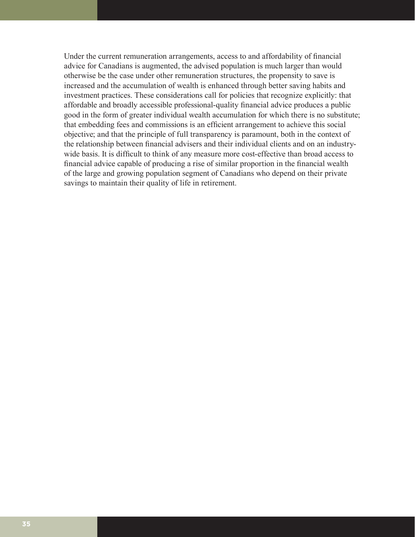Under the current remuneration arrangements, access to and affordability of financial advice for Canadians is augmented, the advised population is much larger than would otherwise be the case under other remuneration structures, the propensity to save is increased and the accumulation of wealth is enhanced through better saving habits and investment practices. These considerations call for policies that recognize explicitly: that affordable and broadly accessible professional-quality financial advice produces a public good in the form of greater individual wealth accumulation for which there is no substitute; that embedding fees and commissions is an efficient arrangement to achieve this social objective; and that the principle of full transparency is paramount, both in the context of the relationship between financial advisers and their individual clients and on an industrywide basis. It is difficult to think of any measure more cost-effective than broad access to financial advice capable of producing a rise of similar proportion in the financial wealth of the large and growing population segment of Canadians who depend on their private savings to maintain their quality of life in retirement.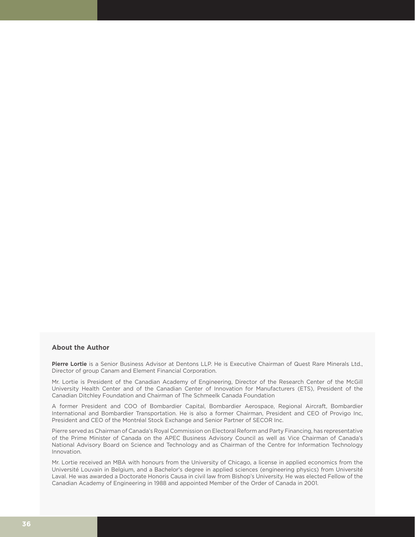#### **About the Author**

Pierre Lortie is a Senior Business Advisor at Dentons LLP. He is Executive Chairman of Quest Rare Minerals Ltd., Director of group Canam and Element Financial Corporation.

Mr. Lortie is President of the Canadian Academy of Engineering, Director of the Research Center of the McGill University Health Center and of the Canadian Center of Innovation for Manufacturers (ETS), President of the Canadian Ditchley Foundation and Chairman of The Schmeelk Canada Foundation

A former President and COO of Bombardier Capital, Bombardier Aerospace, Regional Aircraft, Bombardier International and Bombardier Transportation. He is also a former Chairman, President and CEO of Provigo Inc, President and CEO of the Montréal Stock Exchange and Senior Partner of SECOR Inc.

Pierre served as Chairman of Canada's Royal Commission on Electoral Reform and Party Financing, has representative of the Prime Minister of Canada on the APEC Business Advisory Council as well as Vice Chairman of Canada's National Advisory Board on Science and Technology and as Chairman of the Centre for Information Technology Innovation.

Mr. Lortie received an MBA with honours from the University of Chicago, a license in applied economics from the Université Louvain in Belgium, and a Bachelor's degree in applied sciences (engineering physics) from Université Laval. He was awarded a Doctorate Honoris Causa in civil law from Bishop's University. He was elected Fellow of the Canadian Academy of Engineering in 1988 and appointed Member of the Order of Canada in 2001.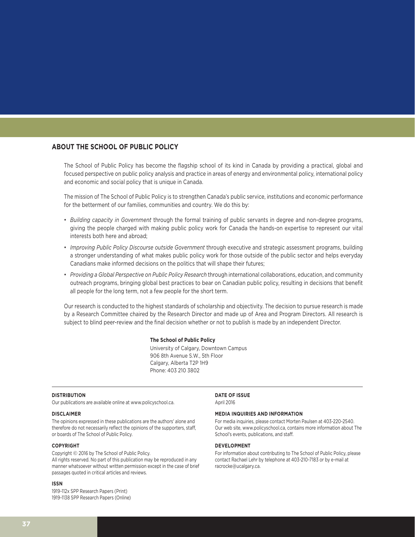#### **ABOUT THE SCHOOL OF PUBLIC POLICY**

The School of Public Policy has become the flagship school of its kind in Canada by providing a practical, global and focused perspective on public policy analysis and practice in areas of energy and environmental policy, international policy and economic and social policy that is unique in Canada.

The mission of The School of Public Policy is to strengthen Canada's public service, institutions and economic performance for the betterment of our families, communities and country. We do this by:

- *Building capacity in Government* through the formal training of public servants in degree and non-degree programs, giving the people charged with making public policy work for Canada the hands-on expertise to represent our vital interests both here and abroad;
- *Improving Public Policy Discourse outside Government* through executive and strategic assessment programs, building a stronger understanding of what makes public policy work for those outside of the public sector and helps everyday Canadians make informed decisions on the politics that will shape their futures;
- *Providing a Global Perspective on Public Policy Research* through international collaborations, education, and community outreach programs, bringing global best practices to bear on Canadian public policy, resulting in decisions that benefit all people for the long term, not a few people for the short term.

Our research is conducted to the highest standards of scholarship and objectivity. The decision to pursue research is made by a Research Committee chaired by the Research Director and made up of Area and Program Directors. All research is subject to blind peer-review and the final decision whether or not to publish is made by an independent Director.

#### **The School of Public Policy**

University of Calgary, Downtown Campus 906 8th Avenue S.W., 5th Floor Calgary, Alberta T2P 1H9 Phone: 403 210 3802

#### **DISTRIBUTION**

Our publications are available online at www.policyschool.ca.

#### **DISCLAIMER**

The opinions expressed in these publications are the authors' alone and therefore do not necessarily reflect the opinions of the supporters, staff, or boards of The School of Public Policy.

#### **COPYRIGHT**

Copyright © 2016 by The School of Public Policy. All rights reserved. No part of this publication may be reproduced in any manner whatsoever without written permission except in the case of brief passages quoted in critical articles and reviews.

#### **ISSN**

1919-112x SPP Research Papers (Print) 1919-1138 SPP Research Papers (Online)

#### **DATE OF ISSUE**

April 2016

#### **MEDIA INQUIRIES AND INFORMATION**

For media inquiries, please contact Morten Paulsen at 403-220-2540. Our web site, www.policyschool.ca, contains more information about The School's events, publications, and staff.

#### **DEVELOPMENT**

For information about contributing to The School of Public Policy, please contact Rachael Lehr by telephone at 403-210-7183 or by e-mail at racrocke@ucalgary.ca.